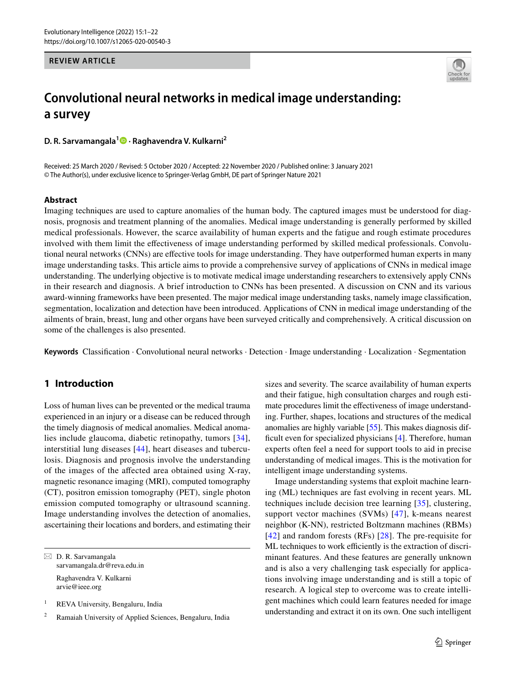## **REVIEW ARTICLE**



# **Convolutional neural networks in medical image understanding: a survey**

**D. R. Sarvamangala[1](http://orcid.org/0000-0003-2411-3336) · Raghavendra V. Kulkarni<sup>2</sup>**

Received: 25 March 2020 / Revised: 5 October 2020 / Accepted: 22 November 2020 / Published online: 3 January 2021 © The Author(s), under exclusive licence to Springer-Verlag GmbH, DE part of Springer Nature 2021

## **Abstract**

Imaging techniques are used to capture anomalies of the human body. The captured images must be understood for diagnosis, prognosis and treatment planning of the anomalies. Medical image understanding is generally performed by skilled medical professionals. However, the scarce availability of human experts and the fatigue and rough estimate procedures involved with them limit the efectiveness of image understanding performed by skilled medical professionals. Convolutional neural networks (CNNs) are efective tools for image understanding. They have outperformed human experts in many image understanding tasks. This article aims to provide a comprehensive survey of applications of CNNs in medical image understanding. The underlying objective is to motivate medical image understanding researchers to extensively apply CNNs in their research and diagnosis. A brief introduction to CNNs has been presented. A discussion on CNN and its various award-winning frameworks have been presented. The major medical image understanding tasks, namely image classifcation, segmentation, localization and detection have been introduced. Applications of CNN in medical image understanding of the ailments of brain, breast, lung and other organs have been surveyed critically and comprehensively. A critical discussion on some of the challenges is also presented.

**Keywords** Classifcation · Convolutional neural networks · Detection · Image understanding · Localization · Segmentation

## **1 Introduction**

Loss of human lives can be prevented or the medical trauma experienced in an injury or a disease can be reduced through the timely diagnosis of medical anomalies. Medical anomalies include glaucoma, diabetic retinopathy, tumors [[34\]](#page-19-0), interstitial lung diseases [\[44\]](#page-19-1), heart diseases and tuberculosis. Diagnosis and prognosis involve the understanding of the images of the afected area obtained using X-ray, magnetic resonance imaging (MRI), computed tomography (CT), positron emission tomography (PET), single photon emission computed tomography or ultrasound scanning. Image understanding involves the detection of anomalies, ascertaining their locations and borders, and estimating their

 $\boxtimes$  D. R. Sarvamangala sarvamangala.dr@reva.edu.in

Raghavendra V. Kulkarni arvie@ieee.org

<sup>1</sup> REVA University, Bengaluru, India

<sup>2</sup> Ramaiah University of Applied Sciences, Bengaluru, India

sizes and severity. The scarce availability of human experts and their fatigue, high consultation charges and rough estimate procedures limit the efectiveness of image understanding. Further, shapes, locations and structures of the medical anomalies are highly variable [\[55](#page-20-0)]. This makes diagnosis dif-ficult even for specialized physicians [\[4](#page-19-2)]. Therefore, human experts often feel a need for support tools to aid in precise understanding of medical images. This is the motivation for intelligent image understanding systems.

Image understanding systems that exploit machine learning (ML) techniques are fast evolving in recent years. ML techniques include decision tree learning [[35\]](#page-19-3), clustering, support vector machines (SVMs) [\[47\]](#page-20-1), k-means nearest neighbor (K-NN), restricted Boltzmann machines (RBMs) [[42\]](#page-19-4) and random forests (RFs) [[28](#page-19-5)]. The pre-requisite for ML techniques to work efficiently is the extraction of discriminant features. And these features are generally unknown and is also a very challenging task especially for applications involving image understanding and is still a topic of research. A logical step to overcome was to create intelligent machines which could learn features needed for image understanding and extract it on its own. One such intelligent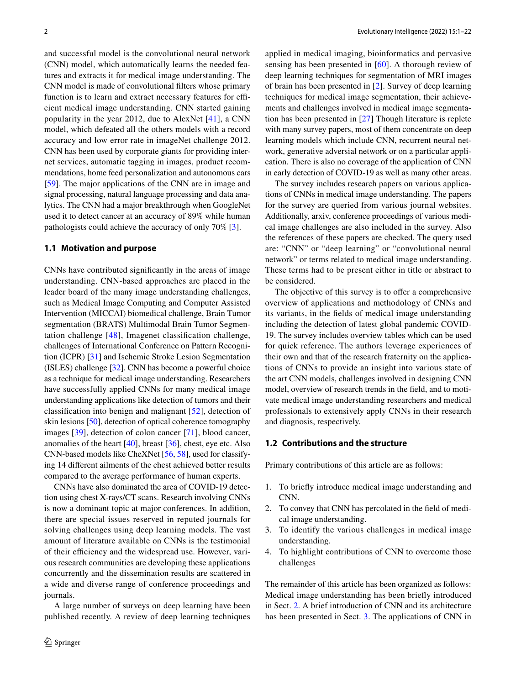and successful model is the convolutional neural network (CNN) model, which automatically learns the needed features and extracts it for medical image understanding. The CNN model is made of convolutional flters whose primary function is to learn and extract necessary features for efficient medical image understanding. CNN started gaining popularity in the year 2012, due to AlexNet [[41\]](#page-19-6), a CNN model, which defeated all the others models with a record accuracy and low error rate in imageNet challenge 2012. CNN has been used by corporate giants for providing internet services, automatic tagging in images, product recommendations, home feed personalization and autonomous cars [\[59\]](#page-20-2). The major applications of the CNN are in image and signal processing, natural language processing and data analytics. The CNN had a major breakthrough when GoogleNet used it to detect cancer at an accuracy of 89% while human pathologists could achieve the accuracy of only 70% [[3\]](#page-18-0).

#### **1.1 Motivation and purpose**

CNNs have contributed signifcantly in the areas of image understanding. CNN-based approaches are placed in the leader board of the many image understanding challenges, such as Medical Image Computing and Computer Assisted Intervention (MICCAI) biomedical challenge, Brain Tumor segmentation (BRATS) Multimodal Brain Tumor Segmentation challenge [[48](#page-20-3)], Imagenet classifcation challenge, challenges of International Conference on Pattern Recognition (ICPR) [[31](#page-19-7)] and Ischemic Stroke Lesion Segmentation (ISLES) challenge [\[32](#page-19-8)]. CNN has become a powerful choice as a technique for medical image understanding. Researchers have successfully applied CNNs for many medical image understanding applications like detection of tumors and their classifcation into benign and malignant [\[52\]](#page-20-4), detection of skin lesions [[50\]](#page-20-5), detection of optical coherence tomography images [[39](#page-19-9)], detection of colon cancer [[71](#page-20-6)], blood cancer, anomalies of the heart [[40](#page-19-10)], breast [[36](#page-19-11)], chest, eye etc. Also CNN-based models like CheXNet [\[56,](#page-20-7) [58](#page-20-8)], used for classifying 14 diferent ailments of the chest achieved better results compared to the average performance of human experts.

CNNs have also dominated the area of COVID-19 detection using chest X-rays/CT scans. Research involving CNNs is now a dominant topic at major conferences. In addition, there are special issues reserved in reputed journals for solving challenges using deep learning models. The vast amount of literature available on CNNs is the testimonial of their efficiency and the widespread use. However, various research communities are developing these applications concurrently and the dissemination results are scattered in a wide and diverse range of conference proceedings and journals.

A large number of surveys on deep learning have been published recently. A review of deep learning techniques

applied in medical imaging, bioinformatics and pervasive sensing has been presented in [[60\]](#page-20-9). A thorough review of deep learning techniques for segmentation of MRI images of brain has been presented in [[2\]](#page-18-1). Survey of deep learning techniques for medical image segmentation, their achievements and challenges involved in medical image segmentation has been presented in [[27\]](#page-19-12) Though literature is replete with many survey papers, most of them concentrate on deep learning models which include CNN, recurrent neural network, generative adversial network or on a particular application. There is also no coverage of the application of CNN in early detection of COVID-19 as well as many other areas.

The survey includes research papers on various applications of CNNs in medical image understanding. The papers for the survey are queried from various journal websites. Additionally, arxiv, conference proceedings of various medical image challenges are also included in the survey. Also the references of these papers are checked. The query used are: "CNN" or "deep learning" or "convolutional neural network" or terms related to medical image understanding. These terms had to be present either in title or abstract to be considered.

The objective of this survey is to offer a comprehensive overview of applications and methodology of CNNs and its variants, in the felds of medical image understanding including the detection of latest global pandemic COVID-19. The survey includes overview tables which can be used for quick reference. The authors leverage experiences of their own and that of the research fraternity on the applications of CNNs to provide an insight into various state of the art CNN models, challenges involved in designing CNN model, overview of research trends in the feld, and to motivate medical image understanding researchers and medical professionals to extensively apply CNNs in their research and diagnosis, respectively.

### **1.2 Contributions and the structure**

Primary contributions of this article are as follows:

- 1. To briefy introduce medical image understanding and CNN.
- 2. To convey that CNN has percolated in the feld of medical image understanding.
- 3. To identify the various challenges in medical image understanding.
- 4. To highlight contributions of CNN to overcome those challenges

The remainder of this article has been organized as follows: Medical image understanding has been briefy introduced in Sect. [2](#page-2-0). A brief introduction of CNN and its architecture has been presented in Sect. [3.](#page-3-0) The applications of CNN in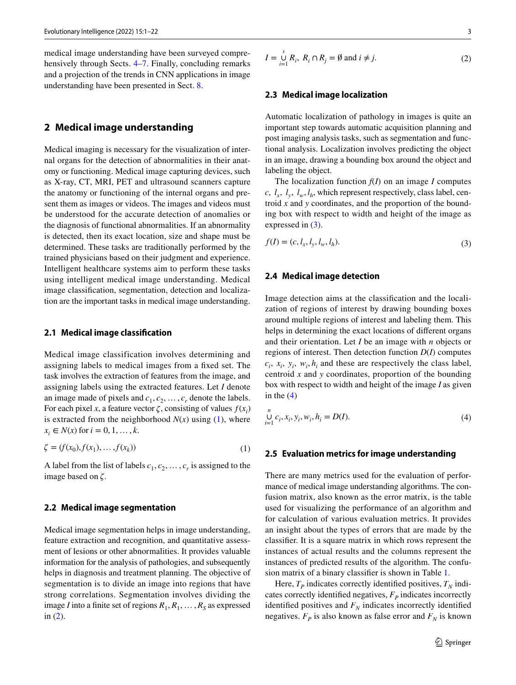medical image understanding have been surveyed compre-hensively through Sects. [4](#page-5-0)[–7](#page-15-0). Finally, concluding remarks and a projection of the trends in CNN applications in image understanding have been presented in Sect. [8](#page-15-1).

## <span id="page-2-0"></span>**2 Medical image understanding**

Medical imaging is necessary for the visualization of internal organs for the detection of abnormalities in their anatomy or functioning. Medical image capturing devices, such as X-ray, CT, MRI, PET and ultrasound scanners capture the anatomy or functioning of the internal organs and present them as images or videos. The images and videos must be understood for the accurate detection of anomalies or the diagnosis of functional abnormalities. If an abnormality is detected, then its exact location, size and shape must be determined. These tasks are traditionally performed by the trained physicians based on their judgment and experience. Intelligent healthcare systems aim to perform these tasks using intelligent medical image understanding. Medical image classifcation, segmentation, detection and localization are the important tasks in medical image understanding.

#### **2.1 Medical image classifcation**

Medical image classification involves determining and assigning labels to medical images from a fxed set. The task involves the extraction of features from the image, and assigning labels using the extracted features. Let *I* denote an image made of pixels and  $c_1, c_2, \ldots, c_r$  denote the labels. For each pixel *x*, a feature vector  $\zeta$ , consisting of values  $f(x_i)$ is extracted from the neighborhood  $N(x)$  using ([1](#page-2-1)), where  $x_i \in N(x)$  for  $i = 0, 1, ..., k$ .

$$
\zeta = (f(x_0), f(x_1), \dots, f(x_k))
$$
 (1)

A label from the list of labels  $c_1, c_2, \ldots, c_r$  is assigned to the image based on ζ.

### **2.2 Medical image segmentation**

Medical image segmentation helps in image understanding, feature extraction and recognition, and quantitative assessment of lesions or other abnormalities. It provides valuable information for the analysis of pathologies, and subsequently helps in diagnosis and treatment planning. The objective of segmentation is to divide an image into regions that have strong correlations. Segmentation involves dividing the image *I* into a finite set of regions  $R_1, R_1, \ldots, R_S$  as expressed in ([2\)](#page-2-2).

<span id="page-2-2"></span>
$$
I = \bigcup_{i=1}^{s} R_i, R_i \cap R_j = \emptyset \text{ and } i \neq j.
$$
 (2)

### **2.3 Medical image localization**

Automatic localization of pathology in images is quite an important step towards automatic acquisition planning and post imaging analysis tasks, such as segmentation and functional analysis. Localization involves predicting the object in an image, drawing a bounding box around the object and labeling the object.

The localization function *f*(*I*) on an image *I* computes *c*,  $l_x$ ,  $l_y$ ,  $l_w$ ,  $l_h$ , which represent respectively, class label, centroid *x* and *y* coordinates, and the proportion of the bounding box with respect to width and height of the image as expressed in  $(3)$  $(3)$ .

<span id="page-2-3"></span>
$$
f(I) = (c, l_x, l_y, l_w, l_h).
$$
\n(3)

#### **2.4 Medical image detection**

Image detection aims at the classifcation and the localization of regions of interest by drawing bounding boxes around multiple regions of interest and labeling them. This helps in determining the exact locations of diferent organs and their orientation. Let *I* be an image with *n* objects or regions of interest. Then detection function *D*(*I*) computes  $c_i$ ,  $x_i$ ,  $y_i$ ,  $w_i$ ,  $h_i$  and these are respectively the class label, centroid *x* and *y* coordinates, proportion of the bounding box with respect to width and height of the image *I* as given in the  $(4)$  $(4)$ 

<span id="page-2-4"></span>
$$
\bigcup_{i=1}^{n} c_i, x_i, y_i, w_i, h_i = D(I). \tag{4}
$$

#### <span id="page-2-1"></span>**2.5 Evaluation metrics for image understanding**

There are many metrics used for the evaluation of performance of medical image understanding algorithms. The confusion matrix, also known as the error matrix, is the table used for visualizing the performance of an algorithm and for calculation of various evaluation metrics. It provides an insight about the types of errors that are made by the classifer. It is a square matrix in which rows represent the instances of actual results and the columns represent the instances of predicted results of the algorithm. The confusion matrix of a binary classifer is shown in Table [1](#page-3-1).

Here,  $T_p$  indicates correctly identified positives,  $T_N$  indicates correctly identified negatives,  $F_p$  indicates incorrectly identified positives and  $F_N$  indicates incorrectly identified negatives.  $F_p$  is also known as false error and  $F_N$  is known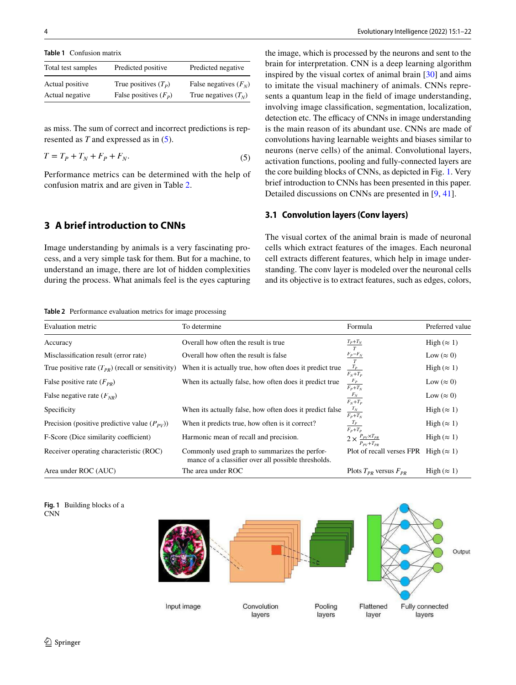<span id="page-3-1"></span>**Table 1** Confusion matrix

| Total test samples | Predicted positive      | Predicted negative     |
|--------------------|-------------------------|------------------------|
| Actual positive    | True positives $(T_p)$  | False negatives $(FN)$ |
| Actual negative    | False positives $(F_p)$ | True negatives $(T_N)$ |

as miss. The sum of correct and incorrect predictions is represented as *T* and expressed as in ([5\)](#page-3-2).

$$
T = T_P + T_N + F_P + F_N. \tag{5}
$$

Performance metrics can be determined with the help of confusion matrix and are given in Table [2](#page-3-3).

## <span id="page-3-0"></span>**3 A brief introduction to CNNs**

Image understanding by animals is a very fascinating process, and a very simple task for them. But for a machine, to understand an image, there are lot of hidden complexities during the process. What animals feel is the eyes capturing the image, which is processed by the neurons and sent to the brain for interpretation. CNN is a deep learning algorithm inspired by the visual cortex of animal brain [[30\]](#page-19-13) and aims to imitate the visual machinery of animals. CNNs represents a quantum leap in the feld of image understanding, involving image classifcation, segmentation, localization, detection etc. The efficacy of CNNs in image understanding is the main reason of its abundant use. CNNs are made of convolutions having learnable weights and biases similar to neurons (nerve cells) of the animal. Convolutional layers, activation functions, pooling and fully-connected layers are the core building blocks of CNNs, as depicted in Fig. [1](#page-3-4). Very brief introduction to CNNs has been presented in this paper. Detailed discussions on CNNs are presented in [\[9](#page-19-14), [41](#page-19-6)].

#### <span id="page-3-2"></span>**3.1 Convolution layers (Conv layers)**

The visual cortex of the animal brain is made of neuronal cells which extract features of the images. Each neuronal cell extracts diferent features, which help in image understanding. The conv layer is modeled over the neuronal cells and its objective is to extract features, such as edges, colors,

<span id="page-3-3"></span>**Table 2** Performance evaluation metrics for image processing

| Evaluation metric                                     | To determine                                                                                         | Formula                                                                           | Preferred value     |
|-------------------------------------------------------|------------------------------------------------------------------------------------------------------|-----------------------------------------------------------------------------------|---------------------|
| Accuracy                                              | Overall how often the result is true                                                                 | $\frac{T_P + T_N}{T}$                                                             | High $(\approx 1)$  |
| Misclassification result (error rate)                 | Overall how often the result is false                                                                |                                                                                   | Low $(\approx 0)$   |
| True positive rate $(T_{PR})$ (recall or sensitivity) | When it is actually true, how often does it predict true                                             | $\begin{array}{c} \frac{F_{P}-F_{N}}{T} \\ \frac{T_{P}}{F_{N}+T_{P}} \end{array}$ | High $(\approx 1)$  |
| False positive rate $(F_{PR})$                        | When its actually false, how often does it predict true                                              | $\frac{F_P}{F_P + T_N}$                                                           | Low ( $\approx 0$ ) |
| False negative rate $(F_{NR})$                        |                                                                                                      | $\frac{F_N}{F_N+T_P}$                                                             | Low $(\approx 0)$   |
| Specificity                                           | When its actually false, how often does it predict false                                             | $\frac{T_N}{F_P + T_N}$                                                           | High $(\approx 1)$  |
| Precision (positive predictive value $(P_{\nu V})$ )  | When it predicts true, how often is it correct?                                                      | $T_P$<br>$F_p+T_p$                                                                | High $(\approx 1)$  |
| F-Score (Dice similarity coefficient)                 | Harmonic mean of recall and precision.                                                               | $2 \times \frac{P_{PV} \times T_{PR}}{P}$<br>$P_{PV}+T_{PR}$                      | High $(\approx 1)$  |
| Receiver operating characteristic (ROC)               | Commonly used graph to summarizes the perfor-<br>mance of a classifier over all possible thresholds. | Plot of recall verses FPR                                                         | High $(\approx 1)$  |
| Area under ROC (AUC)                                  | The area under ROC                                                                                   | Plots $T_{PR}$ versus $F_{PR}$                                                    | High $(\approx 1)$  |

<span id="page-3-4"></span>

CNN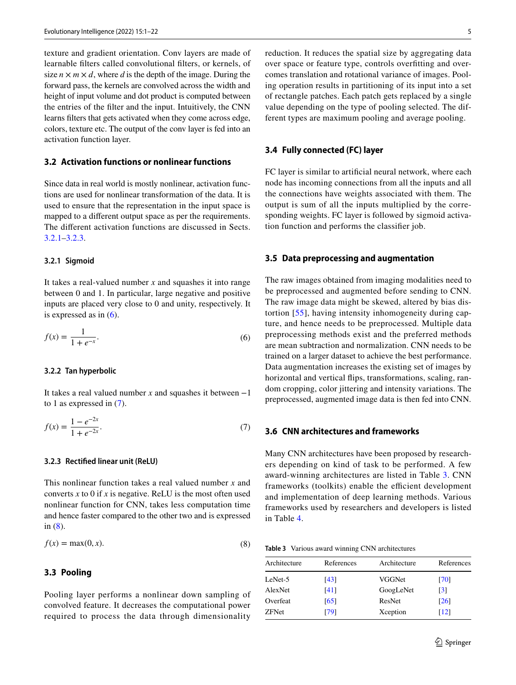texture and gradient orientation. Conv layers are made of learnable flters called convolutional flters, or kernels, of size  $n \times m \times d$ , where *d* is the depth of the image. During the forward pass, the kernels are convolved across the width and height of input volume and dot product is computed between the entries of the flter and the input. Intuitively, the CNN learns flters that gets activated when they come across edge, colors, texture etc. The output of the conv layer is fed into an activation function layer.

## **3.2 Activation functions or nonlinear functions**

Since data in real world is mostly nonlinear, activation functions are used for nonlinear transformation of the data. It is used to ensure that the representation in the input space is mapped to a diferent output space as per the requirements. The diferent activation functions are discussed in Sects. [3.2.1](#page-4-0)[–3.2.3.](#page-4-1)

#### <span id="page-4-0"></span>**3.2.1 Sigmoid**

It takes a real-valued number *x* and squashes it into range between 0 and 1. In particular, large negative and positive inputs are placed very close to 0 and unity, respectively. It is expressed as in  $(6)$  $(6)$ .

$$
f(x) = \frac{1}{1 + e^{-x}}.\tag{6}
$$

#### **3.2.2 Tan hyperbolic**

It takes a real valued number *x* and squashes it between −1 to 1 as expressed in [\(7](#page-4-3)).

$$
f(x) = \frac{1 - e^{-2x}}{1 + e^{-2x}}.\tag{7}
$$

### <span id="page-4-1"></span>**3.2.3 Rectifed linear unit (ReLU)**

This nonlinear function takes a real valued number *x* and converts  $x$  to 0 if  $x$  is negative. ReLU is the most often used nonlinear function for CNN, takes less computation time and hence faster compared to the other two and is expressed in ([8\)](#page-4-4).

$$
f(x) = \max(0, x). \tag{8}
$$

## **3.3 Pooling**

Pooling layer performs a nonlinear down sampling of convolved feature. It decreases the computational power required to process the data through dimensionality reduction. It reduces the spatial size by aggregating data over space or feature type, controls overftting and overcomes translation and rotational variance of images. Pooling operation results in partitioning of its input into a set of rectangle patches. Each patch gets replaced by a single value depending on the type of pooling selected. The different types are maximum pooling and average pooling.

#### **3.4 Fully connected (FC) layer**

FC layer is similar to artifcial neural network, where each node has incoming connections from all the inputs and all the connections have weights associated with them. The output is sum of all the inputs multiplied by the corresponding weights. FC layer is followed by sigmoid activation function and performs the classifer job.

#### **3.5 Data preprocessing and augmentation**

<span id="page-4-2"></span>The raw images obtained from imaging modalities need to be preprocessed and augmented before sending to CNN. The raw image data might be skewed, altered by bias distortion [[55](#page-20-0)], having intensity inhomogeneity during capture, and hence needs to be preprocessed. Multiple data preprocessing methods exist and the preferred methods are mean subtraction and normalization. CNN needs to be trained on a larger dataset to achieve the best performance. Data augmentation increases the existing set of images by horizontal and vertical fips, transformations, scaling, random cropping, color jittering and intensity variations. The preprocessed, augmented image data is then fed into CNN.

### <span id="page-4-3"></span>**3.6 CNN architectures and frameworks**

Many CNN architectures have been proposed by researchers depending on kind of task to be performed. A few award-winning architectures are listed in Table [3.](#page-4-5) CNN frameworks (toolkits) enable the efficient development and implementation of deep learning methods. Various frameworks used by researchers and developers is listed in Table [4.](#page-6-0)

<span id="page-4-5"></span><span id="page-4-4"></span>

| Table 3 Various award winning CNN architectures |
|-------------------------------------------------|
|-------------------------------------------------|

| Architecture | References | Architecture | References         |
|--------------|------------|--------------|--------------------|
| LeNet-5      | [43]       | VGGNet       | [70]               |
| AlexNet      | [41]       | GoogLeNet    | $\lceil 3 \rceil$  |
| Overfeat     | [65]       | ResNet       | $\lceil 26 \rceil$ |
| <b>ZFNet</b> | [79]       | Xception     | $\lceil 12 \rceil$ |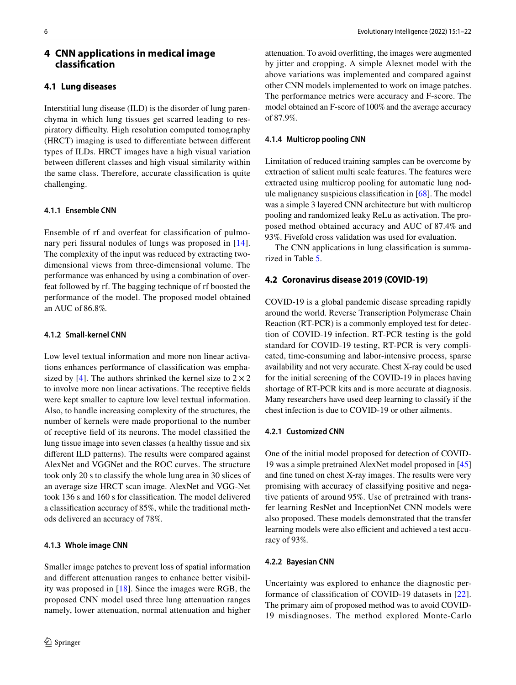## <span id="page-5-0"></span>**4 CNN applications in medical image classifcation**

## **4.1 Lung diseases**

Interstitial lung disease (ILD) is the disorder of lung parenchyma in which lung tissues get scarred leading to respiratory difficulty. High resolution computed tomography (HRCT) imaging is used to diferentiate between diferent types of ILDs. HRCT images have a high visual variation between diferent classes and high visual similarity within the same class. Therefore, accurate classifcation is quite challenging.

#### **4.1.1 Ensemble CNN**

Ensemble of rf and overfeat for classifcation of pulmo-nary peri fissural nodules of lungs was proposed in [[14](#page-19-18)]. The complexity of the input was reduced by extracting twodimensional views from three-dimensional volume. The performance was enhanced by using a combination of overfeat followed by rf. The bagging technique of rf boosted the performance of the model. The proposed model obtained an AUC of 86.8%.

## **4.1.2 Small‑kernel CNN**

Low level textual information and more non linear activations enhances performance of classifcation was empha-sized by [\[4](#page-19-2)]. The authors shrinked the kernel size to  $2 \times 2$ to involve more non linear activations. The receptive felds were kept smaller to capture low level textual information. Also, to handle increasing complexity of the structures, the number of kernels were made proportional to the number of receptive feld of its neurons. The model classifed the lung tissue image into seven classes (a healthy tissue and six diferent ILD patterns). The results were compared against AlexNet and VGGNet and the ROC curves. The structure took only 20 s to classify the whole lung area in 30 slices of an average size HRCT scan image. AlexNet and VGG-Net took 136 s and 160 s for classifcation. The model delivered a classifcation accuracy of 85%, while the traditional methods delivered an accuracy of 78%.

#### **4.1.3 Whole image CNN**

Smaller image patches to prevent loss of spatial information and diferent attenuation ranges to enhance better visibility was proposed in [\[18](#page-19-19)]. Since the images were RGB, the proposed CNN model used three lung attenuation ranges namely, lower attenuation, normal attenuation and higher

attenuation. To avoid overftting, the images were augmented by jitter and cropping. A simple Alexnet model with the above variations was implemented and compared against other CNN models implemented to work on image patches. The performance metrics were accuracy and F-score. The model obtained an F-score of 100% and the average accuracy of 87.9%.

### **4.1.4 Multicrop pooling CNN**

Limitation of reduced training samples can be overcome by extraction of salient multi scale features. The features were extracted using multicrop pooling for automatic lung nodule malignancy suspicious classifcation in [\[68](#page-20-13)]. The model was a simple 3 layered CNN architecture but with multicrop pooling and randomized leaky ReLu as activation. The proposed method obtained accuracy and AUC of 87.4% and 93%. Fivefold cross validation was used for evaluation.

The CNN applications in lung classifcation is summarized in Table [5](#page-7-0).

#### **4.2 Coronavirus disease 2019 (COVID‑19)**

COVID-19 is a global pandemic disease spreading rapidly around the world. Reverse Transcription Polymerase Chain Reaction (RT-PCR) is a commonly employed test for detection of COVID-19 infection. RT-PCR testing is the gold standard for COVID-19 testing, RT-PCR is very complicated, time-consuming and labor-intensive process, sparse availability and not very accurate. Chest X-ray could be used for the initial screening of the COVID-19 in places having shortage of RT-PCR kits and is more accurate at diagnosis. Many researchers have used deep learning to classify if the chest infection is due to COVID-19 or other ailments.

#### **4.2.1 Customized CNN**

One of the initial model proposed for detection of COVID-19 was a simple pretrained AlexNet model proposed in [[45\]](#page-19-20) and fne tuned on chest X-ray images. The results were very promising with accuracy of classifying positive and negative patients of around 95%. Use of pretrained with transfer learning ResNet and InceptionNet CNN models were also proposed. These models demonstrated that the transfer learning models were also efficient and achieved a test accuracy of 93%.

#### **4.2.2 Bayesian CNN**

Uncertainty was explored to enhance the diagnostic performance of classifcation of COVID-19 datasets in [[22](#page-19-21)]. The primary aim of proposed method was to avoid COVID-19 misdiagnoses. The method explored Monte-Carlo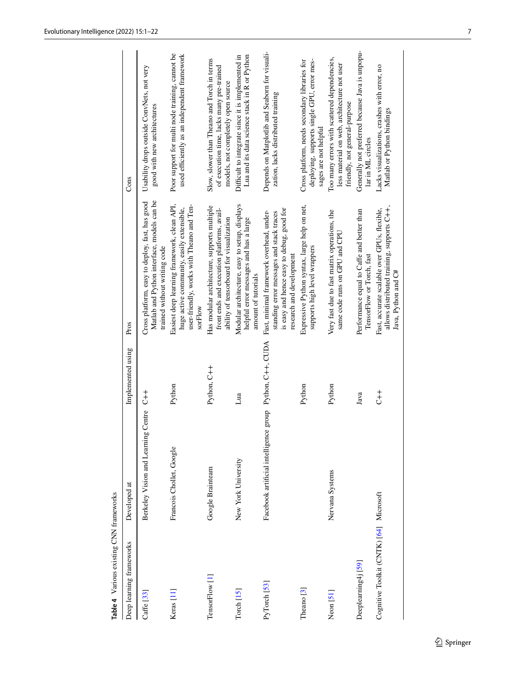<span id="page-6-0"></span>

| Table 4 Various existing CNN frameworks |                                                          |                   |                                                                                                                                                               |                                                                                                                                |
|-----------------------------------------|----------------------------------------------------------|-------------------|---------------------------------------------------------------------------------------------------------------------------------------------------------------|--------------------------------------------------------------------------------------------------------------------------------|
| Deep learning frameworks                | Developed at                                             | Implemented using | Pros                                                                                                                                                          | Cons                                                                                                                           |
| $C$ affe $[33]$                         | Berkeley Vision and Learning Centre C++                  |                   | Matlab and Python interface, models can be<br>Cross platform, easy to deploy, fast, has good<br>trained without writing code                                  | Usability drops outside ConvNets, not very<br>good with new architectures                                                      |
| Keras [11]                              | Francois Chollet, Google                                 | Python            | Easiest deep learning framework, clean API,<br>user-friendly, works with Theano and Ten-<br>huge active community, easily extensible,<br>sorFlow              | Poor support for multi node training, cannot be<br>used efficiently as an independent framework                                |
| TensorFlow [1]                          | Google Brainteam                                         | Python, C++       | Has modular architecture, supports multiple<br>front ends and execution platforms, avail-<br>ability of tensorboard for visualization                         | Slow, slower than Theano and Torch in terms<br>of execution time, lacks many pre-trained<br>models, not completely open source |
| $Torch$ [15]                            | New York University                                      | Lua               | Modular architecture, easy to setup, displays<br>helpful error messages and has a large<br>amount of tutorials                                                | Difficult to integrate since it is implemented in<br>Lua and its data science stack in R or Python                             |
| PyTorch [53]                            | Facebook artificial intelligence group Python, C++, CUDA |                   | is easy and hence easy to debug, good for<br>Fast, minimal framework overhead, under-<br>standing error messages and stack traces<br>research and development | Depends on Matplotlib and Seaborn for visuali-<br>zation, lacks distributed training                                           |
| Theano $[3]$                            |                                                          | Python            | Expressive Python syntax, large help on net,<br>supports high level wrappers                                                                                  | deploying, supports single GPU, error mes-<br>Cross platform, needs secondary libraries for<br>sages are not helpful           |
| $N$ eon $[51]$                          | Nervana Systems                                          | Python            | Very fast due to fast matrix operations, the<br>same code runs on GPU and CPU                                                                                 | Too many errors with scattered dependencies,<br>less material on web, architecture not user<br>friendly, not general-purpose   |
| Deeplearning4j [59]                     |                                                          | Java              | Performance equal to Caffe and better than<br>TensorFlow or Torch, fast                                                                                       | Generally not preferred because Java is unpopu-<br>lar in ML circles                                                           |
| Cognitive Toolkit (CNTK) [64] Microsoft |                                                          | $\overline{t}$    | allows distributed training, supports C++,<br>Fast, accurate scalable over GPUs, flexible,<br>Java, Python and C#                                             | Lacks visualizations, crashes with error, no<br>Matlab or Python bindings                                                      |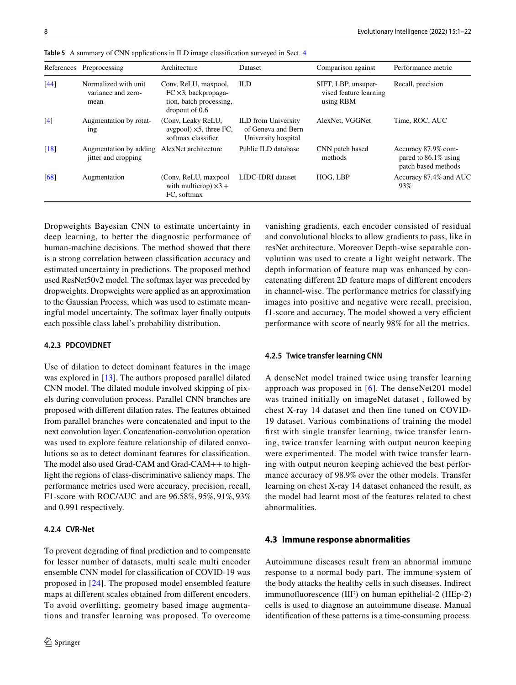|                    | References Preprocessing                            | Architecture                                                                                            | Dataset                                                                 | Comparison against                                         | Performance metric                                                    |
|--------------------|-----------------------------------------------------|---------------------------------------------------------------------------------------------------------|-------------------------------------------------------------------------|------------------------------------------------------------|-----------------------------------------------------------------------|
| $[44]$             | Normalized with unit.<br>variance and zero-<br>mean | Conv, ReLU, maxpool,<br>$FC \times 3$ , backpropaga-<br>tion, batch processing,<br>$\mu$ dropout of 0.6 | ILD                                                                     | SIFT, LBP, unsuper-<br>vised feature learning<br>using RBM | Recall, precision                                                     |
| [4]                | Augmentation by rotat-<br>ing                       | (Conv, Leaky ReLU,<br>avgpool) $\times$ 5, three FC,<br>softmax classifier                              | <b>ILD</b> from University<br>of Geneva and Bern<br>University hospital | AlexNet, VGGNet                                            | Time, ROC, AUC                                                        |
| $\lceil 18 \rceil$ | Augmentation by adding<br>jitter and cropping       | AlexNet architecture                                                                                    | Public ILD database                                                     | CNN patch based<br>methods                                 | Accuracy 87.9% com-<br>pared to $86.1\%$ using<br>patch based methods |
| [68]               | Augmentation                                        | (Conv, ReLU, maxpool)<br>with multicrop) $\times$ 3 +<br>FC, softmax                                    | LIDC-IDRI dataset                                                       | HOG, LBP                                                   | Accuracy 87.4% and AUC<br>93%                                         |

<span id="page-7-0"></span>**Table 5** A summary of CNN applications in ILD image classifcation surveyed in Sect. [4](#page-5-0)

Dropweights Bayesian CNN to estimate uncertainty in deep learning, to better the diagnostic performance of human-machine decisions. The method showed that there is a strong correlation between classifcation accuracy and estimated uncertainty in predictions. The proposed method used ResNet50v2 model. The softmax layer was preceded by dropweights. Dropweights were applied as an approximation to the Gaussian Process, which was used to estimate meaningful model uncertainty. The softmax layer fnally outputs each possible class label's probability distribution.

## **4.2.3 PDCOVIDNET**

Use of dilation to detect dominant features in the image was explored in [\[13](#page-19-25)]. The authors proposed parallel dilated CNN model. The dilated module involved skipping of pixels during convolution process. Parallel CNN branches are proposed with diferent dilation rates. The features obtained from parallel branches were concatenated and input to the next convolution layer. Concatenation-convolution operation was used to explore feature relationship of dilated convolutions so as to detect dominant features for classifcation. The model also used Grad-CAM and Grad-CAM++ to highlight the regions of class-discriminative saliency maps. The performance metrics used were accuracy, precision, recall, F1-score with ROC/AUC and are 96.58%, 95%, 91%, 93% and 0.991 respectively.

#### **4.2.4 CVR‑Net**

To prevent degrading of fnal prediction and to compensate for lesser number of datasets, multi scale multi encoder ensemble CNN model for classifcation of COVID-19 was proposed in [[24](#page-19-26)]. The proposed model ensembled feature maps at diferent scales obtained from diferent encoders. To avoid overftting, geometry based image augmentations and transfer learning was proposed. To overcome vanishing gradients, each encoder consisted of residual and convolutional blocks to allow gradients to pass, like in resNet architecture. Moreover Depth-wise separable convolution was used to create a light weight network. The depth information of feature map was enhanced by concatenating diferent 2D feature maps of diferent encoders in channel-wise. The performance metrics for classifying images into positive and negative were recall, precision, f1-score and accuracy. The model showed a very efficient performance with score of nearly 98% for all the metrics.

#### **4.2.5 Twice transfer learning CNN**

A denseNet model trained twice using transfer learning approach was proposed in [[6](#page-19-27)]. The denseNet201 model was trained initially on imageNet dataset , followed by chest X-ray 14 dataset and then fne tuned on COVID-19 dataset. Various combinations of training the model frst with single transfer learning, twice transfer learning, twice transfer learning with output neuron keeping were experimented. The model with twice transfer learning with output neuron keeping achieved the best performance accuracy of 98.9% over the other models. Transfer learning on chest X-ray 14 dataset enhanced the result, as the model had learnt most of the features related to chest abnormalities.

#### **4.3 Immune response abnormalities**

Autoimmune diseases result from an abnormal immune response to a normal body part. The immune system of the body attacks the healthy cells in such diseases. Indirect immunofuorescence (IIF) on human epithelial-2 (HEp-2) cells is used to diagnose an autoimmune disease. Manual identifcation of these patterns is a time-consuming process.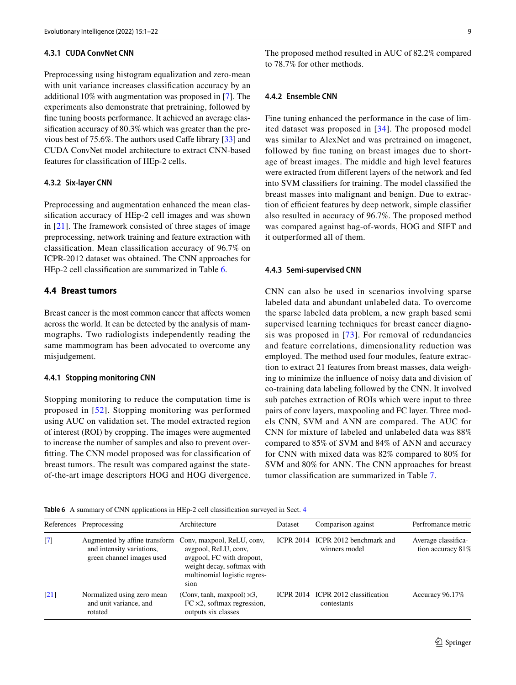## **4.3.1 CUDA ConvNet CNN**

Preprocessing using histogram equalization and zero-mean with unit variance increases classifcation accuracy by an additional 10% with augmentation was proposed in [\[7](#page-19-28)]. The experiments also demonstrate that pretraining, followed by fne tuning boosts performance. It achieved an average classifcation accuracy of 80.3% which was greater than the previous best of 75.6%. The authors used Cafe library [\[33](#page-19-22)] and CUDA ConvNet model architecture to extract CNN-based features for classifcation of HEp-2 cells.

### **4.3.2 Six‑layer CNN**

Preprocessing and augmentation enhanced the mean classifcation accuracy of HEp-2 cell images and was shown in [\[21](#page-19-29)]. The framework consisted of three stages of image preprocessing, network training and feature extraction with classifcation. Mean classifcation accuracy of 96.7% on ICPR-2012 dataset was obtained. The CNN approaches for HEp-2 cell classifcation are summarized in Table [6.](#page-8-0)

### **4.4 Breast tumors**

Breast cancer is the most common cancer that affects women across the world. It can be detected by the analysis of mammographs. Two radiologists independently reading the same mammogram has been advocated to overcome any misjudgement.

#### **4.4.1 Stopping monitoring CNN**

Stopping monitoring to reduce the computation time is proposed in [[52](#page-20-4)]. Stopping monitoring was performed using AUC on validation set. The model extracted region of interest (ROI) by cropping. The images were augmented to increase the number of samples and also to prevent overftting. The CNN model proposed was for classifcation of breast tumors. The result was compared against the stateof-the-art image descriptors HOG and HOG divergence. The proposed method resulted in AUC of 82.2% compared to 78.7% for other methods.

## **4.4.2 Ensemble CNN**

Fine tuning enhanced the performance in the case of limited dataset was proposed in [[34](#page-19-0)]. The proposed model was similar to AlexNet and was pretrained on imagenet, followed by fne tuning on breast images due to shortage of breast images. The middle and high level features were extracted from diferent layers of the network and fed into SVM classifers for training. The model classifed the breast masses into malignant and benign. Due to extraction of efficient features by deep network, simple classifier also resulted in accuracy of 96.7%. The proposed method was compared against bag-of-words, HOG and SIFT and it outperformed all of them.

#### **4.4.3 Semi‑supervised CNN**

CNN can also be used in scenarios involving sparse labeled data and abundant unlabeled data. To overcome the sparse labeled data problem, a new graph based semi supervised learning techniques for breast cancer diagnosis was proposed in [[73](#page-20-17)]. For removal of redundancies and feature correlations, dimensionality reduction was employed. The method used four modules, feature extraction to extract 21 features from breast masses, data weighing to minimize the infuence of noisy data and division of co-training data labeling followed by the CNN. It involved sub patches extraction of ROIs which were input to three pairs of conv layers, maxpooling and FC layer. Three models CNN, SVM and ANN are compared. The AUC for CNN for mixture of labeled and unlabeled data was 88% compared to 85% of SVM and 84% of ANN and accuracy for CNN with mixed data was 82% compared to 80% for SVM and 80% for ANN. The CNN approaches for breast tumor classifcation are summarized in Table [7.](#page-9-0)

<span id="page-8-0"></span>**Table 6** A summary of CNN applications in HEp-2 cell classifcation surveyed in Sect. [4](#page-5-0)

|                   | References Preprocessing                                                                | Architecture                                                                                                                                          | Dataset          | Comparison against                                 | Perfromance metric                       |
|-------------------|-----------------------------------------------------------------------------------------|-------------------------------------------------------------------------------------------------------------------------------------------------------|------------------|----------------------------------------------------|------------------------------------------|
| $\lceil 7 \rceil$ | Augmented by affine transform<br>and intensity variations,<br>green channel images used | Conv, maxpool, ReLU, conv,<br>avgpool, ReLU, conv,<br>avgpool, FC with dropout,<br>weight decay, softmax with<br>multinomial logistic regres-<br>sion |                  | ICPR 2014 ICPR 2012 benchmark and<br>winners model | Average classifica-<br>tion accuracy 81% |
| [21]              | Normalized using zero mean<br>and unit variance, and<br>rotated                         | (Conv, tanh, maxpool) $\times$ 3,<br>$FC \times 2$ , softmax regression,<br>outputs six classes                                                       | <b>ICPR 2014</b> | ICPR 2012 classification<br>contestants            | Accuracy 96.17%                          |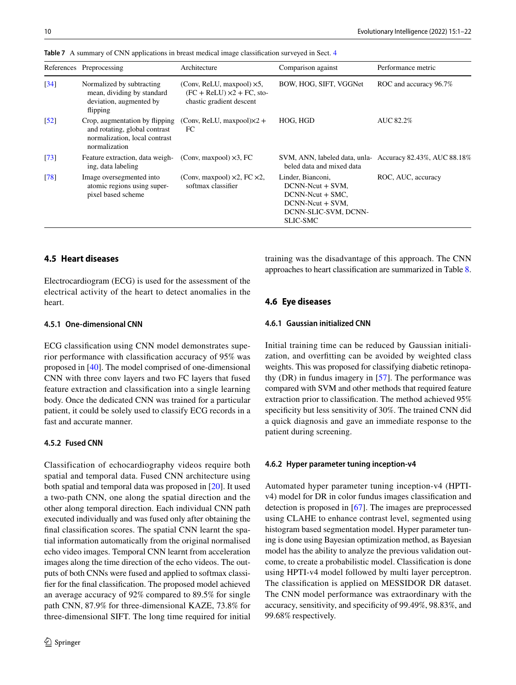|                               | References Preprocessing                                                                                          | Architecture                                                                                        | Comparison against                                                                                                            | Performance metric                                        |
|-------------------------------|-------------------------------------------------------------------------------------------------------------------|-----------------------------------------------------------------------------------------------------|-------------------------------------------------------------------------------------------------------------------------------|-----------------------------------------------------------|
| $\left[34\right]$             | Normalized by subtracting<br>mean, dividing by standard<br>deviation, augmented by<br>flipping                    | (Conv, ReLU, maxpool) $\times$ 5,<br>$(FC + ReLU) \times 2 + FC$ , sto-<br>chastic gradient descent | BOW, HOG, SIFT, VGGNet                                                                                                        | ROC and accuracy 96.7%                                    |
| $\left\lceil 52 \right\rceil$ | Crop, augmentation by flipping<br>and rotating, global contrast<br>normalization, local contrast<br>normalization | (Conv, ReLU, maxpool) $\times$ 2 +<br>FC                                                            | HOG, HGD                                                                                                                      | AUC 82.2%                                                 |
| $\left\lceil 73 \right\rceil$ | Feature extraction, data weigh-<br>ing, data labeling                                                             | (Conv, maxpool) $\times$ 3, FC                                                                      | beled data and mixed data                                                                                                     | SVM, ANN, labeled data, unla- Accuracy 82.43%, AUC 88.18% |
| $\lceil 78 \rceil$            | Image oversegmented into<br>atomic regions using super-<br>pixel based scheme                                     | (Conv, maxpool) $\times$ 2, FC $\times$ 2,<br>softmax classifier                                    | Linder, Bianconi,<br>$DCNN-Neut + SVM$ ,<br>$DCNN-Neut + SMC$ ,<br>$DCNN- = SVM$ ,<br>DCNN-SLIC-SVM, DCNN-<br><b>SLIC-SMC</b> | ROC, AUC, accuracy                                        |

<span id="page-9-0"></span>**Table 7** A summary of CNN applications in breast medical image classifcation surveyed in Sect. [4](#page-5-0)

## **4.5 Heart diseases**

Electrocardiogram (ECG) is used for the assessment of the electrical activity of the heart to detect anomalies in the heart.

#### **4.5.1 One‑dimensional CNN**

ECG classifcation using CNN model demonstrates superior performance with classifcation accuracy of 95% was proposed in [[40\]](#page-19-10). The model comprised of one-dimensional CNN with three conv layers and two FC layers that fused feature extraction and classifcation into a single learning body. Once the dedicated CNN was trained for a particular patient, it could be solely used to classify ECG records in a fast and accurate manner.

## **4.5.2 Fused CNN**

Classification of echocardiography videos require both spatial and temporal data. Fused CNN architecture using both spatial and temporal data was proposed in [\[20](#page-19-30)]. It used a two-path CNN, one along the spatial direction and the other along temporal direction. Each individual CNN path executed individually and was fused only after obtaining the fnal classifcation scores. The spatial CNN learnt the spatial information automatically from the original normalised echo video images. Temporal CNN learnt from acceleration images along the time direction of the echo videos. The outputs of both CNNs were fused and applied to softmax classifer for the fnal classifcation. The proposed model achieved an average accuracy of 92% compared to 89.5% for single path CNN, 87.9% for three-dimensional KAZE, 73.8% for three-dimensional SIFT. The long time required for initial training was the disadvantage of this approach. The CNN approaches to heart classifcation are summarized in Table [8.](#page-10-0)

## **4.6 Eye diseases**

#### **4.6.1 Gaussian initialized CNN**

Initial training time can be reduced by Gaussian initialization, and overftting can be avoided by weighted class weights. This was proposed for classifying diabetic retinopathy (DR) in fundus imagery in [[57](#page-20-18)]. The performance was compared with SVM and other methods that required feature extraction prior to classifcation. The method achieved 95% specificity but less sensitivity of 30%. The trained CNN did a quick diagnosis and gave an immediate response to the patient during screening.

#### **4.6.2 Hyper parameter tuning inception‑v4**

Automated hyper parameter tuning inception-v4 (HPTIv4) model for DR in color fundus images classifcation and detection is proposed in [[67\]](#page-20-19). The images are preprocessed using CLAHE to enhance contrast level, segmented using histogram based segmentation model. Hyper parameter tuning is done using Bayesian optimization method, as Bayesian model has the ability to analyze the previous validation outcome, to create a probabilistic model. Classifcation is done using HPTI-v4 model followed by multi layer perceptron. The classifcation is applied on MESSIDOR DR dataset. The CNN model performance was extraordinary with the accuracy, sensitivity, and specifcity of 99.49%, 98.83%, and 99.68% respectively.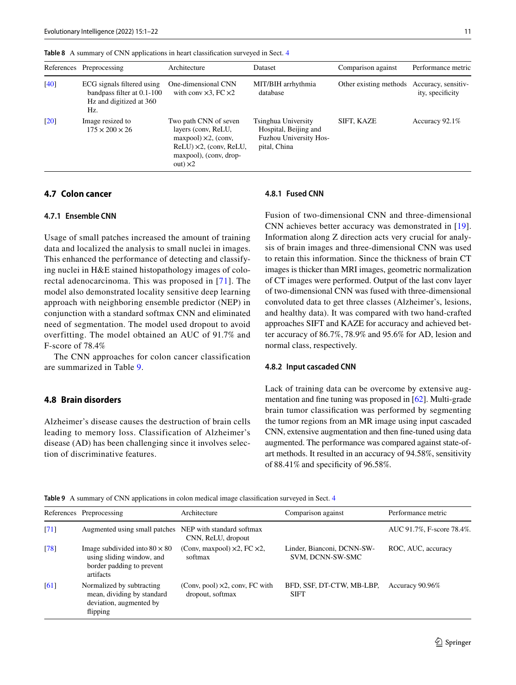|        | References Preprocessing                                                                   | Architecture                                                                                                                                                   | <b>Dataset</b>                                                                                | Comparison against                         | Performance metric |
|--------|--------------------------------------------------------------------------------------------|----------------------------------------------------------------------------------------------------------------------------------------------------------------|-----------------------------------------------------------------------------------------------|--------------------------------------------|--------------------|
| $[40]$ | ECG signals filtered using<br>bandpass filter at 0.1-100<br>Hz and digitized at 360<br>Hz. | One-dimensional CNN<br>with conv $\times$ 3, FC $\times$ 2                                                                                                     | MIT/BIH arrhythmia<br>database                                                                | Other existing methods Accuracy, sensitiv- | ity, specificity   |
| [20]   | Image resized to<br>$175 \times 200 \times 26$                                             | Two path CNN of seven<br>layers (conv, ReLU,<br>$maxpool) \times 2$ , (conv,<br>$ReLU$ ) $\times$ 2, (conv, ReLU,<br>maxpool), (conv, drop-<br>out) $\times 2$ | Tsinghua University<br>Hospital, Beijing and<br><b>Fuzhou University Hos-</b><br>pital, China | SIFT, KAZE                                 | Accuracy $92.1\%$  |

<span id="page-10-0"></span>**Table 8** A summary of CNN applications in heart classifcation surveyed in Sect. [4](#page-5-0)

## **4.7 Colon cancer**

#### **4.7.1 Ensemble CNN**

Usage of small patches increased the amount of training data and localized the analysis to small nuclei in images. This enhanced the performance of detecting and classifying nuclei in H&E stained histopathology images of colorectal adenocarcinoma. This was proposed in [[71](#page-20-6)]. The model also demonstrated locality sensitive deep learning approach with neighboring ensemble predictor (NEP) in conjunction with a standard softmax CNN and eliminated need of segmentation. The model used dropout to avoid overfitting. The model obtained an AUC of 91.7% and F-score of 78.4%

The CNN approaches for colon cancer classification are summarized in Table [9](#page-10-1).

#### **4.8 Brain disorders**

Alzheimer's disease causes the destruction of brain cells leading to memory loss. Classification of Alzheimer's disease (AD) has been challenging since it involves selection of discriminative features.

#### **4.8.1 Fused CNN**

Fusion of two-dimensional CNN and three-dimensional CNN achieves better accuracy was demonstrated in [[19](#page-19-31)]. Information along Z direction acts very crucial for analysis of brain images and three-dimensional CNN was used to retain this information. Since the thickness of brain CT images is thicker than MRI images, geometric normalization of CT images were performed. Output of the last conv layer of two-dimensional CNN was fused with three-dimensional convoluted data to get three classes (Alzheimer's, lesions, and healthy data). It was compared with two hand-crafted approaches SIFT and KAZE for accuracy and achieved better accuracy of 86.7%, 78.9% and 95.6% for AD, lesion and normal class, respectively.

#### **4.8.2 Input cascaded CNN**

Lack of training data can be overcome by extensive augmentation and fne tuning was proposed in [[62\]](#page-20-21). Multi-grade brain tumor classifcation was performed by segmenting the tumor regions from an MR image using input cascaded CNN, extensive augmentation and then fne-tuned using data augmented. The performance was compared against state-ofart methods. It resulted in an accuracy of 94.58%, sensitivity of 88.41% and specifcity of 96.58%.

<span id="page-10-1"></span>**Table 9** A summary of CNN applications in colon medical image classifcation surveyed in Sect. [4](#page-5-0)

|                    | References Preprocessing                                                                                    | Architecture                                               | Comparison against                             | Performance metric        |
|--------------------|-------------------------------------------------------------------------------------------------------------|------------------------------------------------------------|------------------------------------------------|---------------------------|
| $\lceil 71 \rceil$ | Augmented using small patches NEP with standard softmax                                                     | CNN, ReLU, dropout                                         |                                                | AUC 91.7%, F-score 78.4%. |
| $\sqrt{78}$        | Image subdivided into $80 \times 80$<br>using sliding window, and<br>border padding to prevent<br>artifacts | (Conv, maxpool) $\times$ 2, FC $\times$ 2,<br>softmax      | Linder, Bianconi, DCNN-SW-<br>SVM, DCNN-SW-SMC | ROC, AUC, accuracy        |
| [61]               | Normalized by subtracting<br>mean, dividing by standard<br>deviation, augmented by<br>flipping              | (Conv, pool) $\times$ 2, conv, FC with<br>dropout, softmax | BFD, SSF, DT-CTW, MB-LBP,<br><b>SIFT</b>       | Accuracy 90.96%           |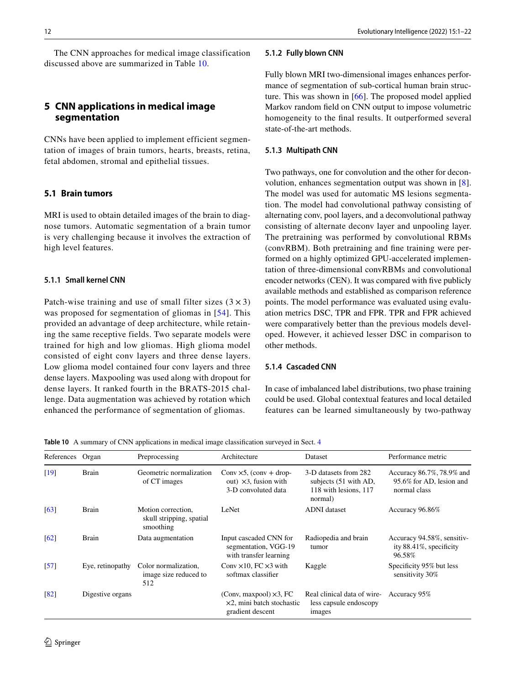## <span id="page-11-1"></span>**5 CNN applications in medical image segmentation**

CNNs have been applied to implement efficient segmentation of images of brain tumors, hearts, breasts, retina, fetal abdomen, stromal and epithelial tissues.

## **5.1 Brain tumors**

MRI is used to obtain detailed images of the brain to diagnose tumors. Automatic segmentation of a brain tumor is very challenging because it involves the extraction of high level features.

#### **5.1.1 Small kernel CNN**

Patch-wise training and use of small filter sizes  $(3 \times 3)$ was proposed for segmentation of gliomas in [[54](#page-20-23)]. This provided an advantage of deep architecture, while retaining the same receptive fields. Two separate models were trained for high and low gliomas. High glioma model consisted of eight conv layers and three dense layers. Low glioma model contained four conv layers and three dense layers. Maxpooling was used along with dropout for dense layers. It ranked fourth in the BRATS-2015 challenge. Data augmentation was achieved by rotation which enhanced the performance of segmentation of gliomas.

#### **5.1.2 Fully blown CNN**

Fully blown MRI two-dimensional images enhances performance of segmentation of sub-cortical human brain structure. This was shown in [\[66](#page-20-24)]. The proposed model applied Markov random feld on CNN output to impose volumetric homogeneity to the fnal results. It outperformed several state-of-the-art methods.

## **5.1.3 Multipath CNN**

Two pathways, one for convolution and the other for deconvolution, enhances segmentation output was shown in [\[8](#page-19-32)]. The model was used for automatic MS lesions segmentation. The model had convolutional pathway consisting of alternating conv, pool layers, and a deconvolutional pathway consisting of alternate deconv layer and unpooling layer. The pretraining was performed by convolutional RBMs (convRBM). Both pretraining and fne training were performed on a highly optimized GPU-accelerated implementation of three-dimensional convRBMs and convolutional encoder networks (CEN). It was compared with fve publicly available methods and established as comparison reference points. The model performance was evaluated using evaluation metrics DSC, TPR and FPR. TPR and FPR achieved were comparatively better than the previous models developed. However, it achieved lesser DSC in comparison to other methods.

## **5.1.4 Cascaded CNN**

In case of imbalanced label distributions, two phase training could be used. Global contextual features and local detailed features can be learned simultaneously by two-pathway

<span id="page-11-0"></span>**Table 10** A summary of CNN applications in medical image classifcation surveyed in Sect. [4](#page-5-0)

| References                    | Organ            | Preprocessing                                               | Architecture                                                                            | Dataset                                                                            | Performance metric                                                    |
|-------------------------------|------------------|-------------------------------------------------------------|-----------------------------------------------------------------------------------------|------------------------------------------------------------------------------------|-----------------------------------------------------------------------|
| [19]                          | <b>Brain</b>     | Geometric normalization<br>of CT images                     | Conv $\times$ 5, (conv + drop-<br>out) $\times 3$ , fusion with<br>3-D convoluted data  | 3-D datasets from 282<br>subjects (51 with AD,<br>118 with lesions, 117<br>normal) | Accuracy 86.7%, 78.9% and<br>95.6% for AD, lesion and<br>normal class |
| $\lceil 63 \rceil$            | <b>Brain</b>     | Motion correction.<br>skull stripping, spatial<br>smoothing | LeNet                                                                                   | <b>ADNI</b> dataset                                                                | Accuracy 96.86%                                                       |
| 62                            | <b>Brain</b>     | Data augmentation                                           | Input cascaded CNN for<br>segmentation, VGG-19<br>with transfer learning                | Radiopedia and brain<br>tumor                                                      | Accuracy 94.58%, sensitiv-<br>ity 88.41%, specificity<br>96.58%       |
| $\left\lceil 57 \right\rceil$ | Eye, retinopathy | Color normalization,<br>image size reduced to<br>512        | Conv $\times$ 10, FC $\times$ 3 with<br>softmax classifier                              | Kaggle                                                                             | Specificity 95% but less<br>sensitivity 30%                           |
| $\sqrt{82}$                   | Digestive organs |                                                             | (Conv, maxpool) $\times$ 3, FC<br>$\times$ 2, mini batch stochastic<br>gradient descent | Real clinical data of wire-<br>less capsule endoscopy<br>images                    | Accuracy 95%                                                          |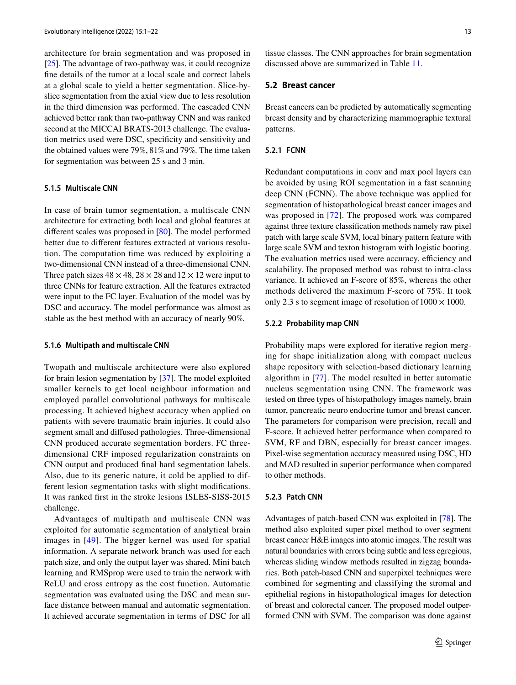architecture for brain segmentation and was proposed in [\[25](#page-19-33)]. The advantage of two-pathway was, it could recognize fne details of the tumor at a local scale and correct labels at a global scale to yield a better segmentation. Slice-byslice segmentation from the axial view due to less resolution in the third dimension was performed. The cascaded CNN achieved better rank than two-pathway CNN and was ranked second at the MICCAI BRATS-2013 challenge. The evaluation metrics used were DSC, specifcity and sensitivity and the obtained values were 79%, 81% and 79%. The time taken for segmentation was between 25 s and 3 min.

### **5.1.5 Multiscale CNN**

In case of brain tumor segmentation, a multiscale CNN architecture for extracting both local and global features at diferent scales was proposed in [[80\]](#page-20-26). The model performed better due to diferent features extracted at various resolution. The computation time was reduced by exploiting a two-dimensional CNN instead of a three-dimensional CNN. Three patch sizes  $48 \times 48$ ,  $28 \times 28$  and  $12 \times 12$  were input to three CNNs for feature extraction. All the features extracted were input to the FC layer. Evaluation of the model was by DSC and accuracy. The model performance was almost as stable as the best method with an accuracy of nearly 90%.

#### **5.1.6 Multipath and multiscale CNN**

Twopath and multiscale architecture were also explored for brain lesion segmentation by [\[37](#page-19-34)]. The model exploited smaller kernels to get local neighbour information and employed parallel convolutional pathways for multiscale processing. It achieved highest accuracy when applied on patients with severe traumatic brain injuries. It could also segment small and difused pathologies. Three-dimensional CNN produced accurate segmentation borders. FC threedimensional CRF imposed regularization constraints on CNN output and produced fnal hard segmentation labels. Also, due to its generic nature, it cold be applied to different lesion segmentation tasks with slight modifcations. It was ranked frst in the stroke lesions ISLES-SISS-2015 challenge.

Advantages of multipath and multiscale CNN was exploited for automatic segmentation of analytical brain images in [\[49\]](#page-20-27). The bigger kernel was used for spatial information. A separate network branch was used for each patch size, and only the output layer was shared. Mini batch learning and RMSprop were used to train the network with ReLU and cross entropy as the cost function. Automatic segmentation was evaluated using the DSC and mean surface distance between manual and automatic segmentation. It achieved accurate segmentation in terms of DSC for all tissue classes. The CNN approaches for brain segmentation discussed above are summarized in Table [11.](#page-13-0)

## **5.2 Breast cancer**

Breast cancers can be predicted by automatically segmenting breast density and by characterizing mammographic textural patterns.

## **5.2.1 FCNN**

Redundant computations in conv and max pool layers can be avoided by using ROI segmentation in a fast scanning deep CNN (FCNN). The above technique was applied for segmentation of histopathological breast cancer images and was proposed in [[72](#page-20-28)]. The proposed work was compared against three texture classifcation methods namely raw pixel patch with large scale SVM, local binary pattern feature with large scale SVM and texton histogram with logistic booting. The evaluation metrics used were accuracy, efficiency and scalability. Ihe proposed method was robust to intra-class variance. It achieved an F-score of 85%, whereas the other methods delivered the maximum F-score of 75%. It took only 2.3 s to segment image of resolution of  $1000 \times 1000$ .

#### **5.2.2 Probability map CNN**

Probability maps were explored for iterative region merging for shape initialization along with compact nucleus shape repository with selection-based dictionary learning algorithm in [[77](#page-20-29)]. The model resulted in better automatic nucleus segmentation using CNN. The framework was tested on three types of histopathology images namely, brain tumor, pancreatic neuro endocrine tumor and breast cancer. The parameters for comparison were precision, recall and F-score. It achieved better performance when compared to SVM, RF and DBN, especially for breast cancer images. Pixel-wise segmentation accuracy measured using DSC, HD and MAD resulted in superior performance when compared to other methods.

#### **5.2.3 Patch CNN**

Advantages of patch-based CNN was exploited in [\[78](#page-20-20)]. The method also exploited super pixel method to over segment breast cancer H&E images into atomic images. The result was natural boundaries with errors being subtle and less egregious, whereas sliding window methods resulted in zigzag boundaries. Both patch-based CNN and superpixel techniques were combined for segmenting and classifying the stromal and epithelial regions in histopathological images for detection of breast and colorectal cancer. The proposed model outperformed CNN with SVM. The comparison was done against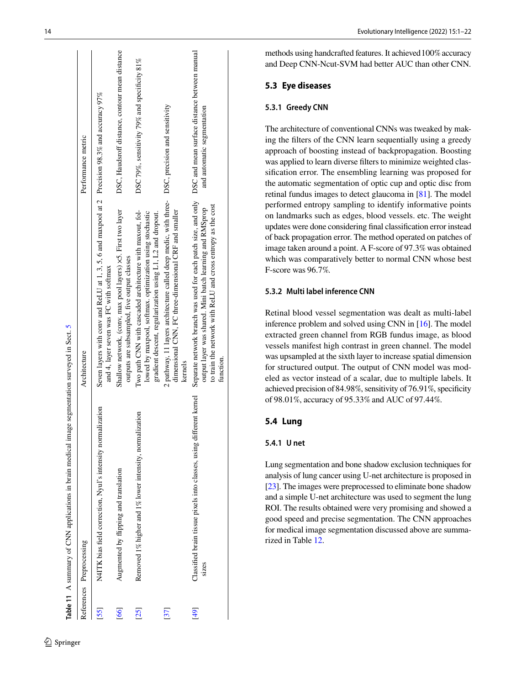|                 | Table 11 A summary of CNN applications in brain medical image segmentation surveyed in Sect. 5 |                                                                                                                                                                                                                                                                                                                         |                                                |
|-----------------|------------------------------------------------------------------------------------------------|-------------------------------------------------------------------------------------------------------------------------------------------------------------------------------------------------------------------------------------------------------------------------------------------------------------------------|------------------------------------------------|
|                 | References Preprocessing                                                                       | Architecture                                                                                                                                                                                                                                                                                                            | Performance metric                             |
| 55              | N4ITK bias field correction, Nyul's intensity normalization                                    | Seven layers with conv and ReLU at 1, 3, 5, 6 and maxpool at 2 Precision 98.3% and accuracy 97%<br>and 4, layer seven was FC with softmax                                                                                                                                                                               |                                                |
| [66]            | Augmented by flipping and translation                                                          | Shallow network, (conv, max pool layers) ×5. First two layer<br>outputs are subsampled, five output classes                                                                                                                                                                                                             | DSC, Haudsroff distance, contour mean distance |
| 25              | Removed 1% higher and 1% lower intensity, normalization                                        | Two path CNN with cascaded architecture with maxout, fol-<br>lowed by maxpool, softmax. optimization using stochastic<br>gradient descent, regularization using L1, L2 and dropout.                                                                                                                                     | DSC 79%, sensitivity 79% and specificity 81%   |
| $\overline{37}$ |                                                                                                | 2 pathway, 11 layers architecture called deep medic, with three- $DSC$ , precision and sensitivity<br>dimensional CNN, FC three-dimensional CRF and smaller<br>kernels                                                                                                                                                  |                                                |
| $\overline{6}$  | <b>SIZES</b>                                                                                   | Classified brain tissue pixels into classes, using different kernel Separate network brand was used for each patch size, and only DSC and mean surface distance between manual<br>to train the network with ReLU and cross entropy as the cost<br>output layer was shared. Mini batch learning and RMSprop<br>function. | and automatic segmentation                     |
|                 |                                                                                                |                                                                                                                                                                                                                                                                                                                         |                                                |

methods using handcrafted features. It achieved 100 % accuracy and Deep CNN-Ncut-SVM had better AUC than other CNN.

## **5.3 Eye diseases**

## **5.3.1 Greedy CNN**

The architecture of conventional CNNs was tweaked by making the flters of the CNN learn sequentially using a greedy approach of boosting instead of backpropagation. Boosting was applied to learn diverse flters to minimize weighted clas sifcation error. The ensembling learning was proposed for the automatic segmentation of optic cup and optic disc from retinal fundus images to detect glaucoma in [[81](#page-20-30)]. The model performed entropy sampling to identify informative points on landmarks such as edges, blood vessels. etc. The weight updates were done considering fnal classifcation error instead of back propagation error. The method operated on patches of image taken around a point. A F-score of 97.3 % was obtained which was comparatively better to normal CNN whose best F-score was 96.7 % .

#### **5.3.2 Multi label inference CNN**

Retinal blood vessel segmentation was dealt as multi-label inference problem and solved using CNN in [\[16\]](#page-19-35). The model extracted green channel from RGB fundus image, as blood vessels manifest high contrast in green channel. The model was upsampled at the sixth layer to increase spatial dimension for structured output. The output of CNN model was mod eled as vector instead of a scalar, due to multiple labels. It achieved precision of 84.98 %, sensitivity of 76.91 %, specifcity of 98.01 %, accuracy of 95.33 % and AUC of 97.44 % .

## **5.4 Lung**

## **5.4.1 U net**

<span id="page-13-0"></span>Lung segmentation and bone shadow exclusion techniques for [ana](#page-19-36)lysis of lung cancer using U-net architecture is proposed in [\[23](#page-19-36)]. The images were preprocessed to eliminate bone shadow and a simple U-net architecture was used to segment the lung ROI. The results obtained were very promising and showed a good speed and precise segmentation. The CNN approaches for medical image segmentation discussed above are summa rized in Table [12](#page-14-0) .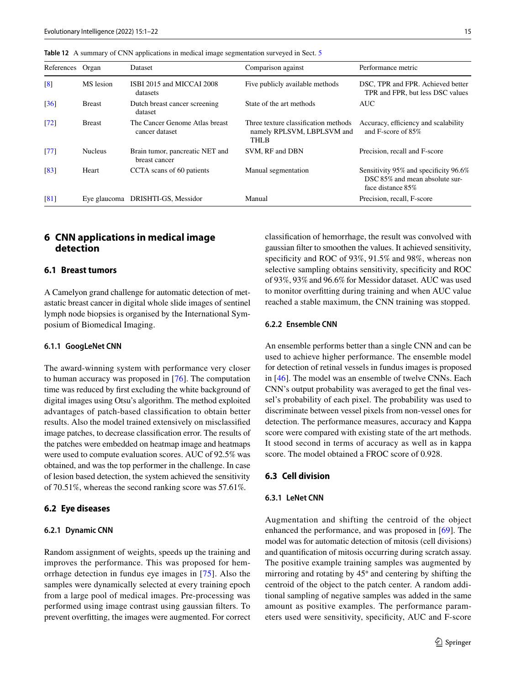| References         | Organ          | <b>Dataset</b>                                   | Comparison against                                                                | Performance metric                                                                           |
|--------------------|----------------|--------------------------------------------------|-----------------------------------------------------------------------------------|----------------------------------------------------------------------------------------------|
| $\lceil 8 \rceil$  | MS lesion      | ISBI 2015 and MICCAI 2008<br>datasets            | Five publicly available methods                                                   | DSC, TPR and FPR. Achieved better<br>TPR and FPR, but less DSC values                        |
| $\lceil 36 \rceil$ | <b>Breast</b>  | Dutch breast cancer screening<br>dataset         | State of the art methods                                                          | <b>AUC</b>                                                                                   |
| $\lceil 72 \rceil$ | <b>Breast</b>  | The Cancer Genome Atlas breast<br>cancer dataset | Three texture classification methods<br>namely RPLSVM, LBPLSVM and<br><b>THLB</b> | Accuracy, efficiency and scalability<br>and F-score of 85%                                   |
| [77]               | <b>Nucleus</b> | Brain tumor, pancreatic NET and<br>breast cancer | SVM, RF and DBN                                                                   | Precision, recall and F-score                                                                |
| $\lceil 83 \rceil$ | Heart          | CCTA scans of 60 patients                        | Manual segmentation                                                               | Sensitivity 95% and specificity 96.6%<br>DSC 85% and mean absolute sur-<br>face distance 85% |
| $\lceil 81 \rceil$ | Eye glaucoma   | DRISHTI-GS, Messidor                             | Manual                                                                            | Precision, recall, F-score                                                                   |

<span id="page-14-0"></span>**Table 12** A summary of CNN applications in medical image segmentation surveyed in Sect. [5](#page-11-1)

## <span id="page-14-1"></span>**6 CNN applications in medical image detection**

## **6.1 Breast tumors**

A Camelyon grand challenge for automatic detection of metastatic breast cancer in digital whole slide images of sentinel lymph node biopsies is organised by the International Symposium of Biomedical Imaging.

#### **6.1.1 GoogLeNet CNN**

The award-winning system with performance very closer to human accuracy was proposed in [[76\]](#page-20-31). The computation time was reduced by frst excluding the white background of digital images using Otsu's algorithm. The method exploited advantages of patch-based classifcation to obtain better results. Also the model trained extensively on misclassifed image patches, to decrease classifcation error. The results of the patches were embedded on heatmap image and heatmaps were used to compute evaluation scores. AUC of 92.5% was obtained, and was the top performer in the challenge. In case of lesion based detection, the system achieved the sensitivity of 70.51%, whereas the second ranking score was 57.61%.

#### **6.2 Eye diseases**

#### **6.2.1 Dynamic CNN**

Random assignment of weights, speeds up the training and improves the performance. This was proposed for hemorrhage detection in fundus eye images in [[75](#page-20-32)]. Also the samples were dynamically selected at every training epoch from a large pool of medical images. Pre-processing was performed using image contrast using gaussian flters. To prevent overftting, the images were augmented. For correct classifcation of hemorrhage, the result was convolved with gaussian flter to smoothen the values. It achieved sensitivity, specificity and ROC of 93%, 91.5% and 98%, whereas non selective sampling obtains sensitivity, specificity and ROC of 93%, 93% and 96.6% for Messidor dataset. AUC was used to monitor overftting during training and when AUC value reached a stable maximum, the CNN training was stopped.

### **6.2.2 Ensemble CNN**

An ensemble performs better than a single CNN and can be used to achieve higher performance. The ensemble model for detection of retinal vessels in fundus images is proposed in [[46\]](#page-20-33). The model was an ensemble of twelve CNNs. Each CNN's output probability was averaged to get the fnal vessel's probability of each pixel. The probability was used to discriminate between vessel pixels from non-vessel ones for detection. The performance measures, accuracy and Kappa score were compared with existing state of the art methods. It stood second in terms of accuracy as well as in kappa score. The model obtained a FROC score of 0.928.

## **6.3 Cell division**

#### **6.3.1 LeNet CNN**

Augmentation and shifting the centroid of the object enhanced the performance, and was proposed in [[69\]](#page-20-34). The model was for automatic detection of mitosis (cell divisions) and quantifcation of mitosis occurring during scratch assay. The positive example training samples was augmented by mirroring and rotating by 45◦ and centering by shifting the centroid of the object to the patch center. A random additional sampling of negative samples was added in the same amount as positive examples. The performance parameters used were sensitivity, specifcity, AUC and F-score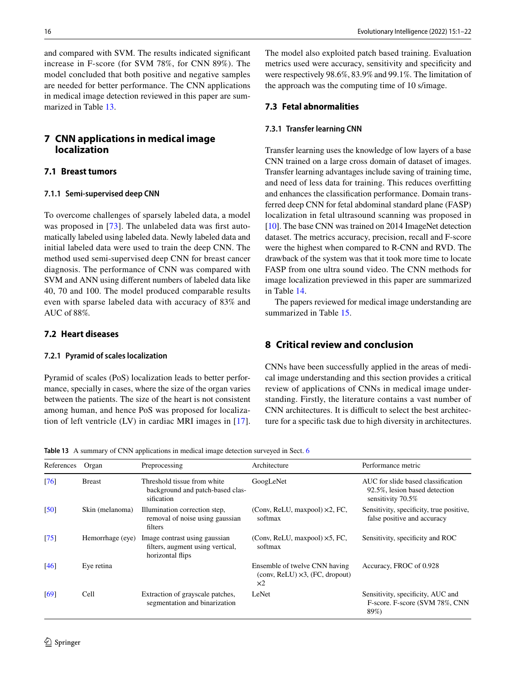and compared with SVM. The results indicated signifcant increase in F-score (for SVM 78%, for CNN 89%). The model concluded that both positive and negative samples are needed for better performance. The CNN applications in medical image detection reviewed in this paper are summarized in Table [13.](#page-15-2)

## <span id="page-15-0"></span>**7 CNN applications in medical image localization**

## **7.1 Breast tumors**

#### **7.1.1 Semi‑supervised deep CNN**

To overcome challenges of sparsely labeled data, a model was proposed in [[73](#page-20-17)]. The unlabeled data was first automatically labeled using labeled data. Newly labeled data and initial labeled data were used to train the deep CNN. The method used semi-supervised deep CNN for breast cancer diagnosis. The performance of CNN was compared with SVM and ANN using diferent numbers of labeled data like 40, 70 and 100. The model produced comparable results even with sparse labeled data with accuracy of 83% and AUC of 88%.

## **7.2 Heart diseases**

#### **7.2.1 Pyramid of scales localization**

Pyramid of scales (PoS) localization leads to better performance, specially in cases, where the size of the organ varies between the patients. The size of the heart is not consistent among human, and hence PoS was proposed for localization of left ventricle (LV) in cardiac MRI images in [[17](#page-19-37)]. The model also exploited patch based training. Evaluation metrics used were accuracy, sensitivity and specifcity and were respectively 98.6%, 83.9% and 99.1%. The limitation of the approach was the computing time of 10 s/image.

#### **7.3 Fetal abnormalities**

#### **7.3.1 Transfer learning CNN**

Transfer learning uses the knowledge of low layers of a base CNN trained on a large cross domain of dataset of images. Transfer learning advantages include saving of training time, and need of less data for training. This reduces overftting and enhances the classifcation performance. Domain transferred deep CNN for fetal abdominal standard plane (FASP) localization in fetal ultrasound scanning was proposed in [\[10](#page-19-38)]. The base CNN was trained on 2014 ImageNet detection dataset. The metrics accuracy, precision, recall and F-score were the highest when compared to R-CNN and RVD. The drawback of the system was that it took more time to locate FASP from one ultra sound video. The CNN methods for image localization previewed in this paper are summarized in Table [14.](#page-16-0)

The papers reviewed for medical image understanding are summarized in Table [15.](#page-16-1)

## <span id="page-15-1"></span>**8 Critical review and conclusion**

CNNs have been successfully applied in the areas of medical image understanding and this section provides a critical review of applications of CNNs in medical image understanding. Firstly, the literature contains a vast number of CNN architectures. It is difficult to select the best architecture for a specifc task due to high diversity in architectures.

<span id="page-15-2"></span>**Table 13** A summary of CNN applications in medical image detection surveyed in Sect. [6](#page-14-1)

| References                    | Organ            | Preprocessing                                                                         | Architecture                                                                                                                                | Performance metric                                                                       |
|-------------------------------|------------------|---------------------------------------------------------------------------------------|---------------------------------------------------------------------------------------------------------------------------------------------|------------------------------------------------------------------------------------------|
| [76]                          | <b>Breast</b>    | Threshold tissue from white<br>background and patch-based clas-<br>sification         | GoogLeNet                                                                                                                                   | AUC for slide based classification<br>92.5%, lesion based detection<br>sensitivity 70.5% |
| $\left[50\right]$             | Skin (melanoma)  | Illumination correction step.<br>removal of noise using gaussian<br>filters           | (Conv, ReLU, maxpool) $\times$ 2, FC,<br>softmax                                                                                            | Sensitivity, specificity, true positive,<br>false positive and accuracy                  |
| $\left\lceil 75 \right\rceil$ | Hemorrhage (eye) | Image contrast using gaussian<br>filters, augment using vertical,<br>horizontal flips | (Conv, ReLU, maxpool) $\times$ 5, FC,<br>softmax                                                                                            | Sensitivity, specificity and ROC                                                         |
| [46]                          | Eye retina       |                                                                                       | Ensemble of twelve CNN having<br>$\left(\text{conv}, \text{ReLU}\right) \times 3$ , $\left(\text{FC}, \text{ dropout}\right)$<br>$\times 2$ | Accuracy, FROC of 0.928                                                                  |
| [69]                          | Cell             | Extraction of grayscale patches,<br>segmentation and binarization                     | LeNet                                                                                                                                       | Sensitivity, specificity, AUC and<br>F-score. F-score (SVM 78%, CNN<br>89%)              |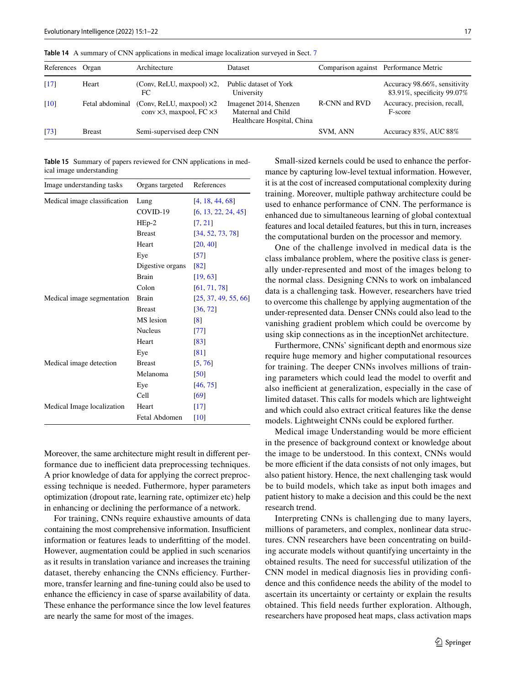F-score

| References Organ   |       | Architecture                                     | Dataset                              |               | Comparison against Performance Metric                      |
|--------------------|-------|--------------------------------------------------|--------------------------------------|---------------|------------------------------------------------------------|
| [17]               | Heart | (Conv, ReLU, maxpool) $\times$ 2,                | Public dataset of York<br>University |               | Accuracy 98.66%, sensitivity<br>83.91%, specificity 99.07% |
| $\lceil 10 \rceil$ |       | Fetal abdominal (Conv, ReLU, maxpool) $\times 2$ | Imagenet 2014, Shenzen               | R-CNN and RVD | Accuracy, precision, recall,                               |

Maternal and Child Healthcare Hospital, China

[[73](#page-20-17)] Breast Semi-supervised deep CNN SVM, ANN Accuracy 83%, AUC 88%

<span id="page-16-0"></span>**Table 14** A summary of CNN applications in medical image localization surveyed in Sect. [7](#page-15-0)

conv ×3, maxpool, FC ×3

<span id="page-16-1"></span>

| <b>Table 15</b> Summary of papers reviewed for CNN applications in med- |  |  |
|-------------------------------------------------------------------------|--|--|
| ical image understanding                                                |  |  |

| Image understanding tasks    | Organs targeted  | References           |  |
|------------------------------|------------------|----------------------|--|
| Medical image classification | Lung             | [4, 18, 44, 68]      |  |
|                              | COVID-19         | [6, 13, 22, 24, 45]  |  |
|                              | $HEp-2$          | [7, 21]              |  |
|                              | <b>Breast</b>    | [34, 52, 73, 78]     |  |
|                              | Heart            | [20, 40]             |  |
|                              | Eye              | $\left[57\right]$    |  |
|                              | Digestive organs | $\sqrt{82}$          |  |
|                              | Brain            | [19, 63]             |  |
|                              | Colon            | [61, 71, 78]         |  |
| Medical image segmentation   | <b>Brain</b>     | [25, 37, 49, 55, 66] |  |
|                              | <b>Breast</b>    | [36, 72]             |  |
|                              | MS lesion        | $\lceil 8 \rceil$    |  |
|                              | <b>Nucleus</b>   | $\left[77\right]$    |  |
|                              | Heart            | [83]                 |  |
|                              | Eye              | [81]                 |  |
| Medical image detection      | <b>Breast</b>    | [5, 76]              |  |
|                              | Melanoma         | $\left[50\right]$    |  |
|                              | Eye              | [46, 75]             |  |
|                              | Cell             | [69]                 |  |
| Medical Image localization   | Heart            | $\lceil 17 \rceil$   |  |
|                              | Fetal Abdomen    | $\lceil 10 \rceil$   |  |

Moreover, the same architecture might result in diferent performance due to inefficient data preprocessing techniques. A prior knowledge of data for applying the correct preprocessing technique is needed. Futhermore, hyper parameters optimization (dropout rate, learning rate, optimizer etc) help in enhancing or declining the performance of a network.

For training, CNNs require exhaustive amounts of data containing the most comprehensive information. Insufficient information or features leads to underftting of the model. However, augmentation could be applied in such scenarios as it results in translation variance and increases the training dataset, thereby enhancing the CNNs efficiency. Furthermore, transfer learning and fne-tuning could also be used to enhance the efficiency in case of sparse availability of data. These enhance the performance since the low level features are nearly the same for most of the images.

Small-sized kernels could be used to enhance the performance by capturing low-level textual information. However, it is at the cost of increased computational complexity during training. Moreover, multiple pathway architecture could be used to enhance performance of CNN. The performance is enhanced due to simultaneous learning of global contextual features and local detailed features, but this in turn, increases the computational burden on the processor and memory.

One of the challenge involved in medical data is the class imbalance problem, where the positive class is generally under-represented and most of the images belong to the normal class. Designing CNNs to work on imbalanced data is a challenging task. However, researchers have tried to overcome this challenge by applying augmentation of the under-represented data. Denser CNNs could also lead to the vanishing gradient problem which could be overcome by using skip connections as in the inceptionNet architecture.

Furthermore, CNNs' signifcant depth and enormous size require huge memory and higher computational resources for training. The deeper CNNs involves millions of training parameters which could lead the model to overft and also inefficient at generalization, especially in the case of limited dataset. This calls for models which are lightweight and which could also extract critical features like the dense models. Lightweight CNNs could be explored further.

Medical image Understanding would be more efficient in the presence of background context or knowledge about the image to be understood. In this context, CNNs would be more efficient if the data consists of not only images, but also patient history. Hence, the next challenging task would be to build models, which take as input both images and patient history to make a decision and this could be the next research trend.

Interpreting CNNs is challenging due to many layers, millions of parameters, and complex, nonlinear data structures. CNN researchers have been concentrating on building accurate models without quantifying uncertainty in the obtained results. The need for successful utilization of the CNN model in medical diagnosis lies in providing confdence and this confdence needs the ability of the model to ascertain its uncertainty or certainty or explain the results obtained. This feld needs further exploration. Although, researchers have proposed heat maps, class activation maps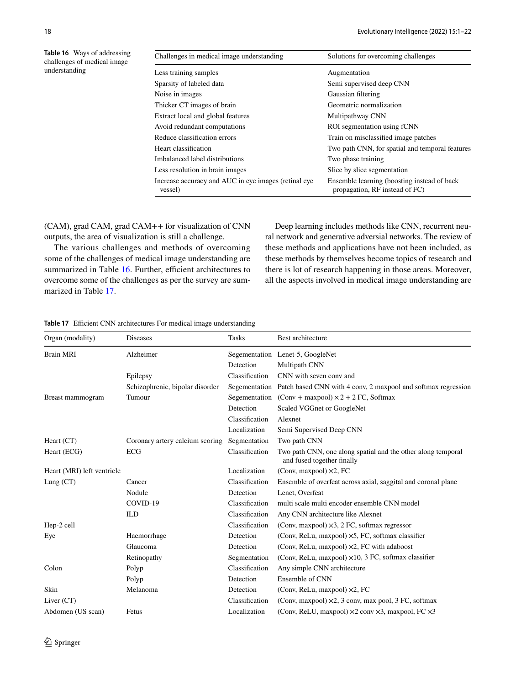<span id="page-17-0"></span>

| <b>Table 16</b> Ways of addressing<br>challenges of medical image | Challenges in medical image understanding                       | Solutions for overcoming challenges                                           |
|-------------------------------------------------------------------|-----------------------------------------------------------------|-------------------------------------------------------------------------------|
| understanding                                                     | Less training samples                                           | Augmentation                                                                  |
|                                                                   | Sparsity of labeled data                                        | Semi supervised deep CNN                                                      |
|                                                                   | Noise in images                                                 | Gaussian filtering                                                            |
|                                                                   | Thicker CT images of brain                                      | Geometric normalization                                                       |
|                                                                   | Extract local and global features                               | Multipathway CNN                                                              |
|                                                                   | Avoid redundant computations                                    | ROI segmentation using fCNN                                                   |
|                                                                   | Reduce classification errors                                    | Train on misclassified image patches                                          |
|                                                                   | Heart classification                                            | Two path CNN, for spatial and temporal features                               |
|                                                                   | Imbalanced label distributions                                  | Two phase training                                                            |
|                                                                   | Less resolution in brain images                                 | Slice by slice segmentation                                                   |
|                                                                   | Increase accuracy and AUC in eye images (retinal eye<br>vessel) | Ensemble learning (boosting instead of back<br>propagation, RF instead of FC) |

(CAM), grad CAM, grad CAM++ for visualization of CNN outputs, the area of visualization is still a challenge.

The various challenges and methods of overcoming some of the challenges of medical image understanding are summarized in Table [16](#page-17-0). Further, efficient architectures to overcome some of the challenges as per the survey are summarized in Table [17.](#page-17-1)

Deep learning includes methods like CNN, recurrent neural network and generative adversial networks. The review of these methods and applications have not been included, as these methods by themselves become topics of research and there is lot of research happening in those areas. Moreover, all the aspects involved in medical image understanding are

#### <span id="page-17-1"></span>**Table 17** Efficient CNN architectures For medical image understanding

| Organ (modality)           | <b>Diseases</b>                 | <b>Tasks</b>   | Best architecture                                                                          |
|----------------------------|---------------------------------|----------------|--------------------------------------------------------------------------------------------|
| <b>Brain MRI</b>           | Alzheimer                       |                | Segementation Lenet-5, GoogleNet                                                           |
|                            |                                 | Detection      | Multipath CNN                                                                              |
|                            | Epilepsy                        | Classification | CNN with seven conv and                                                                    |
|                            | Schizophrenic, bipolar disorder | Segementation  | Patch based CNN with 4 conv, 2 maxpool and softmax regression                              |
| Breast mammogram           | Tumour                          | Segementation  | $(Conv + maxpool) \times 2 + 2 FC$ , Softmax                                               |
|                            |                                 | Detection      | Scaled VGGnet or GoogleNet                                                                 |
|                            |                                 | Classification | Alexnet                                                                                    |
|                            |                                 | Localization   | Semi Supervised Deep CNN                                                                   |
| Heart (CT)                 | Coronary artery calcium scoring | Segmentation   | Two path CNN                                                                               |
| Heart (ECG)                | <b>ECG</b>                      | Classification | Two path CNN, one along spatial and the other along temporal<br>and fused together finally |
| Heart (MRI) left ventricle |                                 | Localization   | (Conv, maxpool) $\times$ 2, FC                                                             |
| Lung $(CT)$                | Cancer                          | Classification | Ensemble of overfeat across axial, saggital and coronal plane                              |
|                            | Nodule                          | Detection      | Lenet, Overfeat                                                                            |
|                            | COVID-19                        | Classification | multi scale multi encoder ensemble CNN model                                               |
|                            | ILD                             | Classification | Any CNN architecture like Alexnet                                                          |
| Hep-2 cell                 |                                 | Classification | (Conv, maxpool) $\times$ 3, 2 FC, softmax regressor                                        |
| Eye                        | Haemorrhage                     | Detection      | (Conv, ReLu, maxpool) ×5, FC, softmax classifier                                           |
|                            | Glaucoma                        | Detection      | (Conv, ReLu, maxpool) $\times$ 2, FC with adaboost                                         |
|                            | Retinopathy                     | Segmentation   | (Conv, ReLu, maxpool) $\times$ 10, 3 FC, softmax classifier                                |
| Colon                      | Polyp                           | Classification | Any simple CNN architecture                                                                |
|                            | Polyp                           | Detection      | Ensemble of CNN                                                                            |
| Skin                       | Melanoma                        | Detection      | (Conv, ReLu, maxpool) ×2, FC                                                               |
| Liver $(CT)$               |                                 | Classification | (Conv, maxpool) $\times$ 2, 3 conv, max pool, 3 FC, softmax                                |
| Abdomen (US scan)          | Fetus                           | Localization   | (Conv, ReLU, maxpool) $\times$ 2 conv $\times$ 3, maxpool, FC $\times$ 3                   |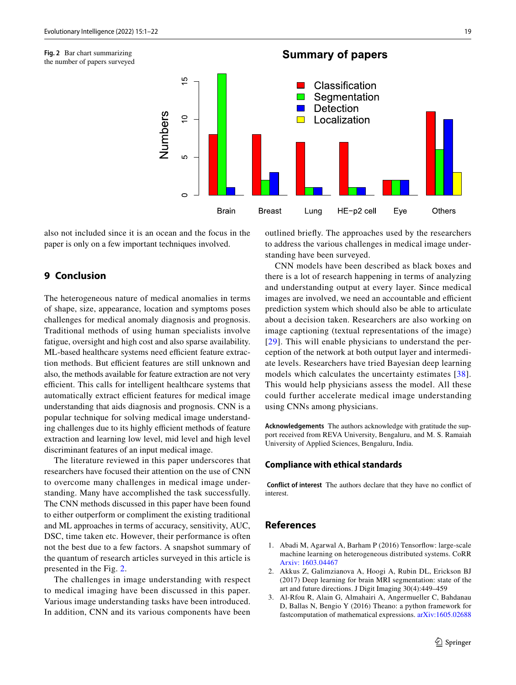

<span id="page-18-3"></span>**Fig. 2** Bar chart summarizing the number of papers surveyed

also not included since it is an ocean and the focus in the paper is only on a few important techniques involved.

## **9 Conclusion**

The heterogeneous nature of medical anomalies in terms of shape, size, appearance, location and symptoms poses challenges for medical anomaly diagnosis and prognosis. Traditional methods of using human specialists involve fatigue, oversight and high cost and also sparse availability. ML-based healthcare systems need efficient feature extraction methods. But efficient features are still unknown and also, the methods available for feature extraction are not very efficient. This calls for intelligent healthcare systems that automatically extract efficient features for medical image understanding that aids diagnosis and prognosis. CNN is a popular technique for solving medical image understanding challenges due to its highly efficient methods of feature extraction and learning low level, mid level and high level discriminant features of an input medical image.

The literature reviewed in this paper underscores that researchers have focused their attention on the use of CNN to overcome many challenges in medical image understanding. Many have accomplished the task successfully. The CNN methods discussed in this paper have been found to either outperform or compliment the existing traditional and ML approaches in terms of accuracy, sensitivity, AUC, DSC, time taken etc. However, their performance is often not the best due to a few factors. A snapshot summary of the quantum of research articles surveyed in this article is presented in the Fig. [2](#page-18-3).

The challenges in image understanding with respect to medical imaging have been discussed in this paper. Various image understanding tasks have been introduced. In addition, CNN and its various components have been

outlined briefy. The approaches used by the researchers to address the various challenges in medical image understanding have been surveyed.

CNN models have been described as black boxes and there is a lot of research happening in terms of analyzing and understanding output at every layer. Since medical images are involved, we need an accountable and efficient prediction system which should also be able to articulate about a decision taken. Researchers are also working on image captioning (textual representations of the image) [[29](#page-19-40)]. This will enable physicians to understand the perception of the network at both output layer and intermediate levels. Researchers have tried Bayesian deep learning models which calculates the uncertainty estimates [[38\]](#page-19-41). This would help physicians assess the model. All these could further accelerate medical image understanding using CNNs among physicians.

**Acknowledgements** The authors acknowledge with gratitude the support received from REVA University, Bengaluru, and M. S. Ramaiah University of Applied Sciences, Bengaluru, India.

#### **Compliance with ethical standards**

 **Conflict of interest** The authors declare that they have no confict of interest.

## **References**

- <span id="page-18-2"></span>1. Abadi M, Agarwal A, Barham P (2016) Tensorfow: large-scale machine learning on heterogeneous distributed systems. CoRR [Arxiv: 1603.04467](http://arxiv.org/abs/1603.04467)
- <span id="page-18-1"></span>2. Akkus Z, Galimzianova A, Hoogi A, Rubin DL, Erickson BJ (2017) Deep learning for brain MRI segmentation: state of the art and future directions. J Digit Imaging 30(4):449–459
- <span id="page-18-0"></span>3. Al-Rfou R, Alain G, Almahairi A, Angermueller C, Bahdanau D, Ballas N, Bengio Y (2016) Theano: a python framework for fastcomputation of mathematical expressions. [arXiv:1605.02688](https://arxiv.org/abs/1605.02688)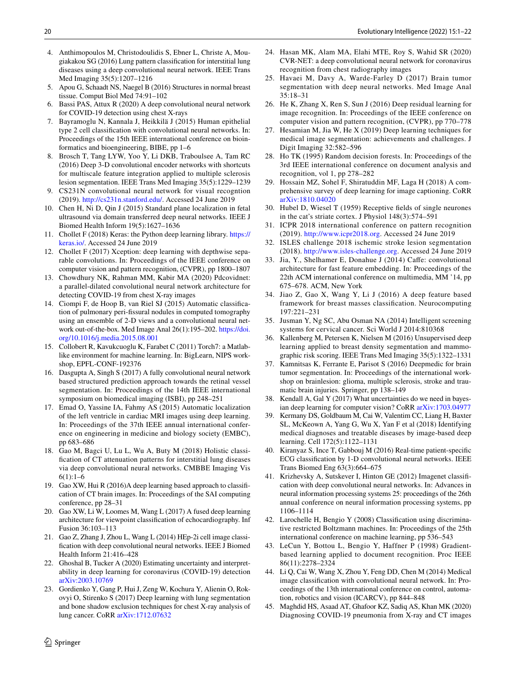- <span id="page-19-2"></span>4. Anthimopoulos M, Christodoulidis S, Ebner L, Christe A, Mougiakakou SG (2016) Lung pattern classifcation for interstitial lung diseases using a deep convolutional neural network. IEEE Trans Med Imaging 35(5):1207–1216
- <span id="page-19-39"></span>5. Apou G, Schaadt NS, Naegel B (2016) Structures in normal breast tissue. Comput Biol Med 74:91–102
- <span id="page-19-27"></span>6. Bassi PAS, Attux R (2020) A deep convolutional neural network for COVID-19 detection using chest X-rays
- <span id="page-19-28"></span>7. Bayramoglu N, Kannala J, Heikkilä J (2015) Human epithelial type 2 cell classifcation with convolutional neural networks. In: Proceedings of the 15th IEEE international conference on bioinformatics and bioengineering, BIBE, pp 1–6
- <span id="page-19-32"></span>8. Brosch T, Tang LYW, Yoo Y, Li DKB, Traboulsee A, Tam RC (2016) Deep 3-D convolutional encoder networks with shortcuts for multiscale feature integration applied to multiple sclerosis lesion segmentation. IEEE Trans Med Imaging 35(5):1229–1239
- <span id="page-19-14"></span>9. CS231N convolutional neural network for visual recogntion (2019).<http://cs231n.stanford.edu/>. Accessed 24 June 2019
- <span id="page-19-38"></span>10. Chen H, Ni D, Qin J (2015) Standard plane localization in fetal ultrasound via domain transferred deep neural networks. IEEE J Biomed Health Inform 19(5):1627–1636
- <span id="page-19-23"></span>11. Chollet F (2018) Keras: the Python deep learning library. [https://](https://keras.io/) [keras.io/](https://keras.io/). Accessed 24 June 2019
- <span id="page-19-17"></span>12. Chollet F (2017) Xception: deep learning with depthwise separable convolutions. In: Proceedings of the IEEE conference on computer vision and pattern recognition, (CVPR), pp 1800–1807
- <span id="page-19-25"></span>13. Chowdhury NK, Rahman MM, Kabir MA (2020) Pdcovidnet: a parallel-dilated convolutional neural network architecture for detecting COVID-19 from chest X-ray images
- <span id="page-19-18"></span>14. Ciompi F, de Hoop B, van Riel SJ (2015) Automatic classifcation of pulmonary peri-fssural nodules in computed tomography using an ensemble of 2-D views and a convolutional neural network out-of-the-box. Med Image Anal 26(1):195–202. [https://doi.](https://doi.org/10.1016/j.media.2015.08.001) [org/10.1016/j.media.2015.08.001](https://doi.org/10.1016/j.media.2015.08.001)
- <span id="page-19-24"></span>15. Collobert R, Kavukcuoglu K, Farabet C (2011) Torch7: a Matlablike environment for machine learning. In: BigLearn, NIPS workshop, EPFL-CONF-192376
- <span id="page-19-35"></span>16. Dasgupta A, Singh S (2017) A fully convolutional neural network based structured prediction approach towards the retinal vessel segmentation. In: Proceedings of the 14th IEEE international symposium on biomedical imaging (ISBI), pp 248–251
- <span id="page-19-37"></span>17. Emad O, Yassine IA, Fahmy AS (2015) Automatic localization of the left ventricle in cardiac MRI images using deep learning. In: Proceedings of the 37th IEEE annual international conference on engineering in medicine and biology society (EMBC), pp 683–686
- <span id="page-19-19"></span>18. Gao M, Bagci U, Lu L, Wu A, Buty M (2018) Holistic classifcation of CT attenuation patterns for interstitial lung diseases via deep convolutional neural networks. CMBBE Imaging Vis  $6(1):1-6$
- <span id="page-19-31"></span>19. Gao XW, Hui R (2016)A deep learning based approach to classifcation of CT brain images. In: Proceedings of the SAI computing conference, pp 28–31
- <span id="page-19-30"></span>20. Gao XW, Li W, Loomes M, Wang L (2017) A fused deep learning architecture for viewpoint classifcation of echocardiography. Inf Fusion 36:103–113
- <span id="page-19-29"></span>21. Gao Z, Zhang J, Zhou L, Wang L (2014) HEp-2i cell image classifcation with deep convolutional neural networks. IEEE J Biomed Health Inform 21:416–428
- <span id="page-19-21"></span>22. Ghoshal B, Tucker A (2020) Estimating uncertainty and interpretability in deep learning for coronavirus (COVID-19) detection [arXiv:2003.10769](https://arxiv.org/abs/2003.10769)
- <span id="page-19-36"></span>23. Gordienko Y, Gang P, Hui J, Zeng W, Kochura Y, Alienin O, Rokovyi O, Stirenko S (2017) Deep learning with lung segmentation and bone shadow exclusion techniques for chest X-ray analysis of lung cancer. CoRR [arXiv:1712.07632](http://arxiv.org/abs/1712.07632)
- <span id="page-19-26"></span>24. Hasan MK, Alam MA, Elahi MTE, Roy S, Wahid SR (2020) CVR-NET: a deep convolutional neural network for coronavirus recognition from chest radiography images
- <span id="page-19-33"></span>25. Havaei M, Davy A, Warde-Farley D (2017) Brain tumor segmentation with deep neural networks. Med Image Anal 35:18–31
- <span id="page-19-16"></span>26. He K, Zhang X, Ren S, Sun J (2016) Deep residual learning for image recognition. In: Proceedings of the IEEE conference on computer vision and pattern recognition, (CVPR), pp 770–778
- <span id="page-19-12"></span>27. Hesamian M, Jia W, He X (2019) Deep learning techniques for medical image segmentation: achievements and challenges. J Digit Imaging 32:582–596
- <span id="page-19-5"></span>28. Ho TK (1995) Random decision forests. In: Proceedings of the 3rd IEEE international conference on document analysis and recognition, vol 1, pp 278–282
- <span id="page-19-40"></span>29. Hossain MZ, Sohel F, Shiratuddin MF, Laga H (2018) A comprehensive survey of deep learning for image captioning. CoRR [arXiv:1810.04020](http://arxiv.org/abs/1810.04020)
- <span id="page-19-13"></span>30. Hubel D, Wiesel T (1959) Receptive felds of single neurones in the cat's striate cortex. J Physiol 148(3):574–591
- <span id="page-19-7"></span>31. ICPR 2018 international conference on pattern recognition (2019). [http://www.icpr2018.org.](http://www.icpr2018.org) Accessed 24 June 2019
- <span id="page-19-8"></span>32. ISLES challenge 2018 ischemic stroke lesion segmentation (2018). [http://www.isles-challenge.org.](http://www.isles-challenge.org) Accessed 24 June 2019
- <span id="page-19-22"></span>33. Jia, Y., Shelhamer E, Donahue J (2014) Cafe: convolutional architecture for fast feature embedding. In: Proceedings of the 22th ACM international conference on multimedia, MM '14, pp 675–678. ACM, New York
- <span id="page-19-0"></span>34. Jiao Z, Gao X, Wang Y, Li J (2016) A deep feature based framework for breast masses classifcation. Neurocomputing 197:221–231
- <span id="page-19-3"></span>35. Jusman Y, Ng SC, Abu Osman NA (2014) Intelligent screening systems for cervical cancer. Sci World J 2014:810368
- <span id="page-19-11"></span>36. Kallenberg M, Petersen K, Nielsen M (2016) Unsupervised deep learning applied to breast density segmentation and mammographic risk scoring. IEEE Trans Med Imaging 35(5):1322–1331
- <span id="page-19-34"></span>37. Kamnitsas K, Ferrante E, Parisot S (2016) Deepmedic for brain tumor segmentation. In: Proceedings of the international workshop on brainlesion: glioma, multiple sclerosis, stroke and traumatic brain injuries. Springer, pp 138–149
- <span id="page-19-41"></span>38. Kendall A, Gal Y (2017) What uncertainties do we need in bayesian deep learning for computer vision? CoRR [arXiv:1703.04977](http://arxiv.org/abs/1703.04977)
- <span id="page-19-9"></span>39. Kermany DS, Goldbaum M, Cai W, Valentim CC, Liang H, Baxter SL, McKeown A, Yang G, Wu X, Yan F et al (2018) Identifying medical diagnoses and treatable diseases by image-based deep learning. Cell 172(5):1122–1131
- <span id="page-19-10"></span>40. Kiranyaz S, Ince T, Gabbouj M (2016) Real-time patient-specifc ECG classifcation by 1-D convolutional neural networks. IEEE Trans Biomed Eng 63(3):664–675
- <span id="page-19-6"></span>41. Krizhevsky A, Sutskever I, Hinton GE (2012) Imagenet classifcation with deep convolutional neural networks. In: Advances in neural information processing systems 25: proceedings of the 26th annual conference on neural information processing systems, pp 1106–1114
- <span id="page-19-4"></span>42. Larochelle H, Bengio Y (2008) Classifcation using discriminative restricted Boltzmann machines. In: Proceedings of the 25th international conference on machine learning, pp 536–543
- <span id="page-19-15"></span>43. LeCun Y, Bottou L, Bengio Y, Haffner P (1998) Gradientbased learning applied to document recognition. Proc IEEE 86(11):2278–2324
- <span id="page-19-1"></span>44. Li Q, Cai W, Wang X, Zhou Y, Feng DD, Chen M (2014) Medical image classifcation with convolutional neural network. In: Proceedings of the 13th international conference on control, automation, robotics and vision (ICARCV), pp 844–848
- <span id="page-19-20"></span>45. Maghdid HS, Asaad AT, Ghafoor KZ, Sadiq AS, Khan MK (2020) Diagnosing COVID-19 pneumonia from X-ray and CT images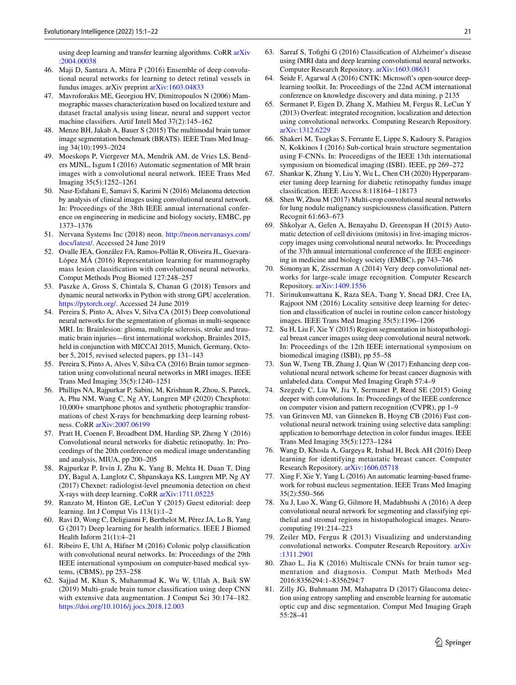using deep learning and transfer learning algorithms. CoRR [arXiv](http://arxiv.org/abs/2004.00038) [:2004.00038](http://arxiv.org/abs/2004.00038)

- <span id="page-20-33"></span>46. Maji D, Santara A, Mitra P (2016) Ensemble of deep convolutional neural networks for learning to detect retinal vessels in fundus images. arXiv preprint [arXiv:1603.04833](http://arxiv.org/abs/1603.04833)
- <span id="page-20-1"></span>47. Mavroforakis ME, Georgiou HV, Dimitropoulos N (2006) Mammographic masses characterization based on localized texture and dataset fractal analysis using linear, neural and support vector machine classifers. Artif Intell Med 37(2):145–162
- <span id="page-20-3"></span>48. Menze BH, Jakab A, Bauer S (2015) The multimodal brain tumor image segmentation benchmark (BRATS). IEEE Trans Med Imaging 34(10):1993–2024
- <span id="page-20-27"></span>49. Moeskops P, Viergever MA, Mendrik AM, de Vries LS, Benders MJNL, Isgum I (2016) Automatic segmentation of MR brain images with a convolutional neural network. IEEE Trans Med Imaging 35(5):1252–1261
- <span id="page-20-5"></span>50. Nasr-Esfahani E, Samavi S, Karimi N (2016) Melanoma detection by analysis of clinical images using convolutional neural network. In: Proceedings of the 38th IEEE annual international conference on engineering in medicine and biology society, EMBC, pp 1373–1376
- <span id="page-20-15"></span>51. Nervana Systems Inc (2018) neon. [http://neon.nervanasys.com/](http://neon.nervanasys.com/docs/latest/) [docs/latest/.](http://neon.nervanasys.com/docs/latest/) Accessed 24 June 2019
- <span id="page-20-4"></span>52. Ovalle JEA, González FA, Ramos-Pollán R, Oliveira JL, Guevara-López MÁ (2016) Representation learning for mammography mass lesion classifcation with convolutional neural networks. Comput Methods Prog Biomed 127:248–257
- <span id="page-20-14"></span>53. Paszke A, Gross S, Chintala S, Chanan G (2018) Tensors and dynamic neural networks in Python with strong GPU acceleration. [https://pytorch.org/.](https://pytorch.org/) Accessed 24 June 2019
- <span id="page-20-23"></span>54. Pereira S, Pinto A, Alves V, Silva CA (2015) Deep convolutional neural networks for the segmentation of gliomas in multi-sequence MRI. In: Brainlesion: glioma, multiple sclerosis, stroke and traumatic brain injuries—frst international workshop, Brainles 2015, held in conjunction with MICCAI 2015, Munich, Germany, October 5, 2015, revised selected papers, pp 131–143
- <span id="page-20-0"></span>55. Pereira S, Pinto A, Alves V, Silva CA (2016) Brain tumor segmentation using convolutional neural networks in MRI images. IEEE Trans Med Imaging 35(5):1240–1251
- <span id="page-20-7"></span>56. Phillips NA, Rajpurkar P, Sabini, M, Krishnan R, Zhou, S, Pareek, A, Phu NM, Wang C, Ng AY, Lungren MP (2020) Chexphoto: 10,000+ smartphone photos and synthetic photographic transformations of chest X-rays for benchmarking deep learning robustness. CoRR [arXiv:2007.06199](http://arxiv.org/abs/2007.06199)
- <span id="page-20-18"></span>57. Pratt H, Coenen F, Broadbent DM, Harding SP, Zheng Y (2016) Convolutional neural networks for diabetic retinopathy. In: Proceedings of the 20th conference on medical image understanding and analysis, MIUA, pp 200–205
- <span id="page-20-8"></span>58. Rajpurkar P, Irvin J, Zhu K, Yang B, Mehta H, Duan T, Ding DY, Bagul A, Langlotz C, Shpanskaya KS, Lungren MP, Ng AY (2017) Chexnet: radiologist-level pneumonia detection on chest X-rays with deep learning. CoRR [arXiv:1711.05225](http://arxiv.org/abs/1711.05225)
- <span id="page-20-2"></span>59. Ranzato M, Hinton GE, LeCun Y (2015) Guest editorial: deep learning. Int J Comput Vis 113(1):1–2
- <span id="page-20-9"></span>60. Ravi D, Wong C, Deligianni F, Berthelot M, Pérez JA, Lo B, Yang G (2017) Deep learning for health informatics. IEEE J Biomed Health Inform 21(1):4–21
- <span id="page-20-22"></span>61. Ribeiro E, Uhl A, Häfner M (2016) Colonic polyp classifcation with convolutional neural networks. In: Proceedings of the 29th IEEE international symposium on computer-based medical systems, (CBMS), pp 253–258
- <span id="page-20-21"></span>62. Sajjad M, Khan S, Muhammad K, Wu W, Ullah A, Baik SW (2019) Multi-grade brain tumor classifcation using deep CNN with extensive data augmentation. J Comput Sci 30:174–182. <https://doi.org/10.1016/j.jocs.2018.12.003>
- <span id="page-20-25"></span>63. Sarraf S, Tofghi G (2016) Classifcation of Alzheimer's disease using fMRI data and deep learning convolutional neural networks. Computer Research Repository. [arXiv:1603.08631](http://arxiv.org/abs/1603.08631)
- <span id="page-20-16"></span>64. Seide F, Agarwal A (2016) CNTK: Microsoft's open-source deeplearning toolkit. In: Proceedings of the 22nd ACM international conference on knowledge discovery and data mining, p 2135
- <span id="page-20-11"></span>65. Sermanet P, Eigen D, Zhang X, Mathieu M, Fergus R, LeCun Y (2013) Overfeat: integrated recognition, localization and detection using convolutional networks. Computing Research Repository. [arXiv:1312.6229](http://arxiv.org/abs/1312.6229)
- <span id="page-20-24"></span>66. Shakeri M, Tsogkas S, Ferrante E, Lippe S, Kadoury S, Paragios N, Kokkinos I (2016) Sub-cortical brain structure segmentation using F-CNNs. In: Proceedigns of the IEEE 13th international symposium on biomedical imaging (ISBI). IEEE, pp 269–272
- <span id="page-20-19"></span>67. Shankar K, Zhang Y, Liu Y, Wu L, Chen CH (2020) Hyperparameter tuning deep learning for diabetic retinopathy fundus image classifcation. IEEE Access 8:118164–118173
- <span id="page-20-13"></span>68. Shen W, Zhou M (2017) Multi-crop convolutional neural networks for lung nodule malignancy suspiciousness classifcation. Pattern Recognit 61:663–673
- <span id="page-20-34"></span>69. Shkolyar A, Gefen A, Benayahu D, Greenspan H (2015) Automatic detection of cell divisions (mitosis) in live-imaging microscopy images using convolutional neural networks. In: Proceedings of the 37th annual international conference of the IEEE engineering in medicine and biology society (EMBC), pp 743–746
- <span id="page-20-10"></span>70. Simonyan K, Zisserman A (2014) Very deep convolutional networks for large-scale image recognition. Computer Research Repository. [arXiv:1409.1556](http://arxiv.org/abs/1409.1556)
- <span id="page-20-6"></span>71. Sirinukunwattana K, Raza SEA, Tsang Y, Snead DRJ, Cree IA, Rajpoot NM (2016) Locality sensitive deep learning for detection and classifcation of nuclei in routine colon cancer histology images. IEEE Trans Med Imaging 35(5):1196–1206
- <span id="page-20-28"></span>72. Su H, Liu F, Xie Y (2015) Region segmentation in histopathological breast cancer images using deep convolutional neural network. In: Proceedings of the 12th IEEE international symposium on biomedical imaging (ISBI), pp 55–58
- <span id="page-20-17"></span>73. Sun W, Tseng TB, Zhang J, Qian W (2017) Enhancing deep convolutional neural network scheme for breast cancer diagnosis with unlabeled data. Comput Med Imaging Graph 57:4–9
- 74. Szegedy C, Liu W, Jia Y, Sermanet P, Reed SE (2015) Going deeper with convolutions. In: Proceedings of the IEEE conference on computer vision and pattern recognition (CVPR), pp 1–9
- <span id="page-20-32"></span>75. van Grinsven MJ, van Ginneken B, Hoyng CB (2016) Fast convolutional neural network training using selective data sampling: application to hemorrhage detection in color fundus images. IEEE Trans Med Imaging 35(5):1273–1284
- <span id="page-20-31"></span>76. Wang D, Khosla A, Gargeya R, Irshad H, Beck AH (2016) Deep learning for identifying metastatic breast cancer. Computer Research Repository. [arXiv:1606.05718](http://arxiv.org/abs/1606.05718)
- <span id="page-20-29"></span>77. Xing F, Xie Y, Yang L (2016) An automatic learning-based framework for robust nucleus segmentation. IEEE Trans Med Imaging 35(2):550–566
- <span id="page-20-20"></span>78. Xu J, Luo X, Wang G, Gilmore H, Madabhushi A (2016) A deep convolutional neural network for segmenting and classifying epithelial and stromal regions in histopathological images. Neurocomputing 191:214–223
- <span id="page-20-12"></span>79. Zeiler MD, Fergus R (2013) Visualizing and understanding convolutional networks. Computer Research Repository. [arXiv](http://arxiv.org/abs/1311.2901) [:1311.2901](http://arxiv.org/abs/1311.2901)
- <span id="page-20-26"></span>80. Zhao L, Jia K (2016) Multiscale CNNs for brain tumor segmentation and diagnosis. Comput Math Methods Med 2016:8356294:1–8356294:7
- <span id="page-20-30"></span>81. Zilly JG, Buhmann JM, Mahapatra D (2017) Glaucoma detection using entropy sampling and ensemble learning for automatic optic cup and disc segmentation. Comput Med Imaging Graph 55:28–41